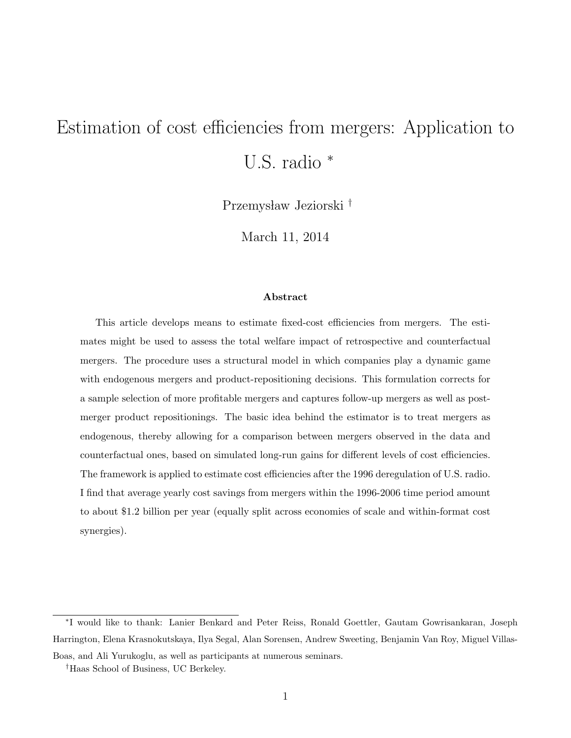# Estimation of cost efficiencies from mergers: Application to U.S. radio <sup>∗</sup>

Przemysław Jeziorski<sup>†</sup>

March 11, 2014

#### Abstract

This article develops means to estimate fixed-cost efficiencies from mergers. The estimates might be used to assess the total welfare impact of retrospective and counterfactual mergers. The procedure uses a structural model in which companies play a dynamic game with endogenous mergers and product-repositioning decisions. This formulation corrects for a sample selection of more profitable mergers and captures follow-up mergers as well as postmerger product repositionings. The basic idea behind the estimator is to treat mergers as endogenous, thereby allowing for a comparison between mergers observed in the data and counterfactual ones, based on simulated long-run gains for different levels of cost efficiencies. The framework is applied to estimate cost efficiencies after the 1996 deregulation of U.S. radio. I find that average yearly cost savings from mergers within the 1996-2006 time period amount to about \$1.2 billion per year (equally split across economies of scale and within-format cost synergies).

<sup>∗</sup> I would like to thank: Lanier Benkard and Peter Reiss, Ronald Goettler, Gautam Gowrisankaran, Joseph Harrington, Elena Krasnokutskaya, Ilya Segal, Alan Sorensen, Andrew Sweeting, Benjamin Van Roy, Miguel Villas-Boas, and Ali Yurukoglu, as well as participants at numerous seminars.

<sup>†</sup>Haas School of Business, UC Berkeley.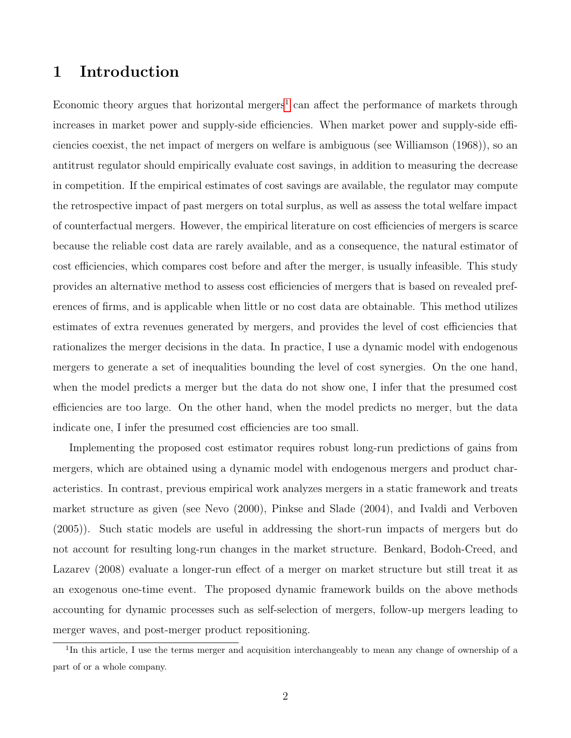## 1 Introduction

Economic theory argues that horizontal mergers<sup>[1](#page-1-0)</sup> can affect the performance of markets through increases in market power and supply-side efficiencies. When market power and supply-side efficiencies coexist, the net impact of mergers on welfare is ambiguous (see Williamson (1968)), so an antitrust regulator should empirically evaluate cost savings, in addition to measuring the decrease in competition. If the empirical estimates of cost savings are available, the regulator may compute the retrospective impact of past mergers on total surplus, as well as assess the total welfare impact of counterfactual mergers. However, the empirical literature on cost efficiencies of mergers is scarce because the reliable cost data are rarely available, and as a consequence, the natural estimator of cost efficiencies, which compares cost before and after the merger, is usually infeasible. This study provides an alternative method to assess cost efficiencies of mergers that is based on revealed preferences of firms, and is applicable when little or no cost data are obtainable. This method utilizes estimates of extra revenues generated by mergers, and provides the level of cost efficiencies that rationalizes the merger decisions in the data. In practice, I use a dynamic model with endogenous mergers to generate a set of inequalities bounding the level of cost synergies. On the one hand, when the model predicts a merger but the data do not show one, I infer that the presumed cost efficiencies are too large. On the other hand, when the model predicts no merger, but the data indicate one, I infer the presumed cost efficiencies are too small.

Implementing the proposed cost estimator requires robust long-run predictions of gains from mergers, which are obtained using a dynamic model with endogenous mergers and product characteristics. In contrast, previous empirical work analyzes mergers in a static framework and treats market structure as given (see Nevo (2000), Pinkse and Slade (2004), and Ivaldi and Verboven (2005)). Such static models are useful in addressing the short-run impacts of mergers but do not account for resulting long-run changes in the market structure. Benkard, Bodoh-Creed, and Lazarev (2008) evaluate a longer-run effect of a merger on market structure but still treat it as an exogenous one-time event. The proposed dynamic framework builds on the above methods accounting for dynamic processes such as self-selection of mergers, follow-up mergers leading to merger waves, and post-merger product repositioning.

<span id="page-1-0"></span><sup>&</sup>lt;sup>1</sup>In this article, I use the terms merger and acquisition interchangeably to mean any change of ownership of a part of or a whole company.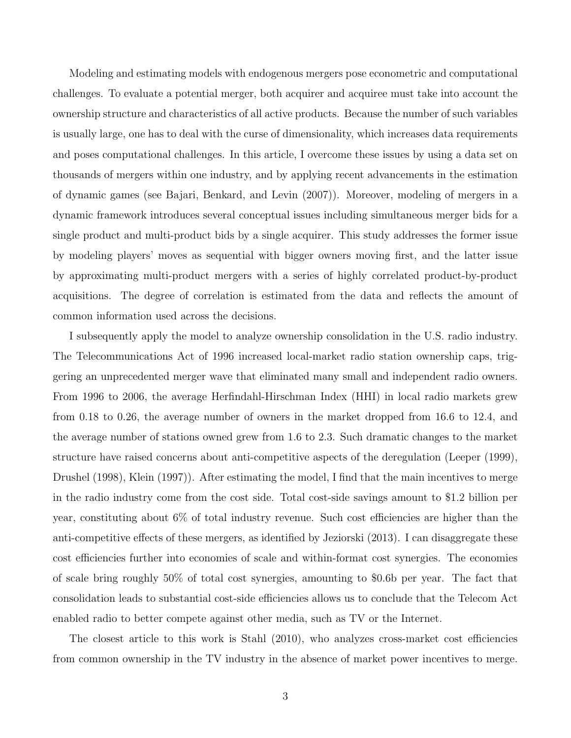Modeling and estimating models with endogenous mergers pose econometric and computational challenges. To evaluate a potential merger, both acquirer and acquiree must take into account the ownership structure and characteristics of all active products. Because the number of such variables is usually large, one has to deal with the curse of dimensionality, which increases data requirements and poses computational challenges. In this article, I overcome these issues by using a data set on thousands of mergers within one industry, and by applying recent advancements in the estimation of dynamic games (see Bajari, Benkard, and Levin (2007)). Moreover, modeling of mergers in a dynamic framework introduces several conceptual issues including simultaneous merger bids for a single product and multi-product bids by a single acquirer. This study addresses the former issue by modeling players' moves as sequential with bigger owners moving first, and the latter issue by approximating multi-product mergers with a series of highly correlated product-by-product acquisitions. The degree of correlation is estimated from the data and reflects the amount of common information used across the decisions.

I subsequently apply the model to analyze ownership consolidation in the U.S. radio industry. The Telecommunications Act of 1996 increased local-market radio station ownership caps, triggering an unprecedented merger wave that eliminated many small and independent radio owners. From 1996 to 2006, the average Herfindahl-Hirschman Index (HHI) in local radio markets grew from 0.18 to 0.26, the average number of owners in the market dropped from 16.6 to 12.4, and the average number of stations owned grew from 1.6 to 2.3. Such dramatic changes to the market structure have raised concerns about anti-competitive aspects of the deregulation (Leeper (1999), Drushel (1998), Klein (1997)). After estimating the model, I find that the main incentives to merge in the radio industry come from the cost side. Total cost-side savings amount to \$1.2 billion per year, constituting about 6% of total industry revenue. Such cost efficiencies are higher than the anti-competitive effects of these mergers, as identified by Jeziorski (2013). I can disaggregate these cost efficiencies further into economies of scale and within-format cost synergies. The economies of scale bring roughly 50% of total cost synergies, amounting to \$0.6b per year. The fact that consolidation leads to substantial cost-side efficiencies allows us to conclude that the Telecom Act enabled radio to better compete against other media, such as TV or the Internet.

The closest article to this work is Stahl (2010), who analyzes cross-market cost efficiencies from common ownership in the TV industry in the absence of market power incentives to merge.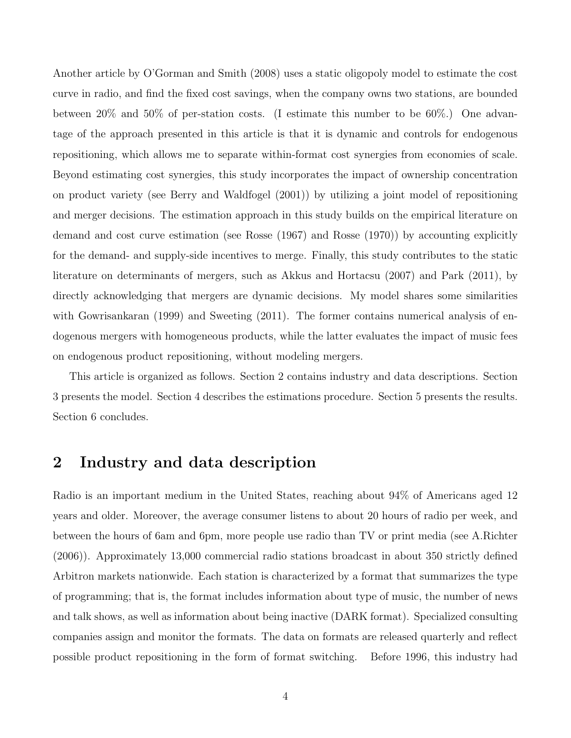Another article by O'Gorman and Smith (2008) uses a static oligopoly model to estimate the cost curve in radio, and find the fixed cost savings, when the company owns two stations, are bounded between 20% and 50% of per-station costs. (I estimate this number to be 60%.) One advantage of the approach presented in this article is that it is dynamic and controls for endogenous repositioning, which allows me to separate within-format cost synergies from economies of scale. Beyond estimating cost synergies, this study incorporates the impact of ownership concentration on product variety (see Berry and Waldfogel (2001)) by utilizing a joint model of repositioning and merger decisions. The estimation approach in this study builds on the empirical literature on demand and cost curve estimation (see Rosse (1967) and Rosse (1970)) by accounting explicitly for the demand- and supply-side incentives to merge. Finally, this study contributes to the static literature on determinants of mergers, such as Akkus and Hortacsu (2007) and Park (2011), by directly acknowledging that mergers are dynamic decisions. My model shares some similarities with Gowrisankaran (1999) and Sweeting (2011). The former contains numerical analysis of endogenous mergers with homogeneous products, while the latter evaluates the impact of music fees on endogenous product repositioning, without modeling mergers.

This article is organized as follows. Section 2 contains industry and data descriptions. Section 3 presents the model. Section 4 describes the estimations procedure. Section 5 presents the results. Section 6 concludes.

## <span id="page-3-0"></span>2 Industry and data description

Radio is an important medium in the United States, reaching about 94% of Americans aged 12 years and older. Moreover, the average consumer listens to about 20 hours of radio per week, and between the hours of 6am and 6pm, more people use radio than TV or print media (see A.Richter (2006)). Approximately 13,000 commercial radio stations broadcast in about 350 strictly defined Arbitron markets nationwide. Each station is characterized by a format that summarizes the type of programming; that is, the format includes information about type of music, the number of news and talk shows, as well as information about being inactive (DARK format). Specialized consulting companies assign and monitor the formats. The data on formats are released quarterly and reflect possible product repositioning in the form of format switching. Before 1996, this industry had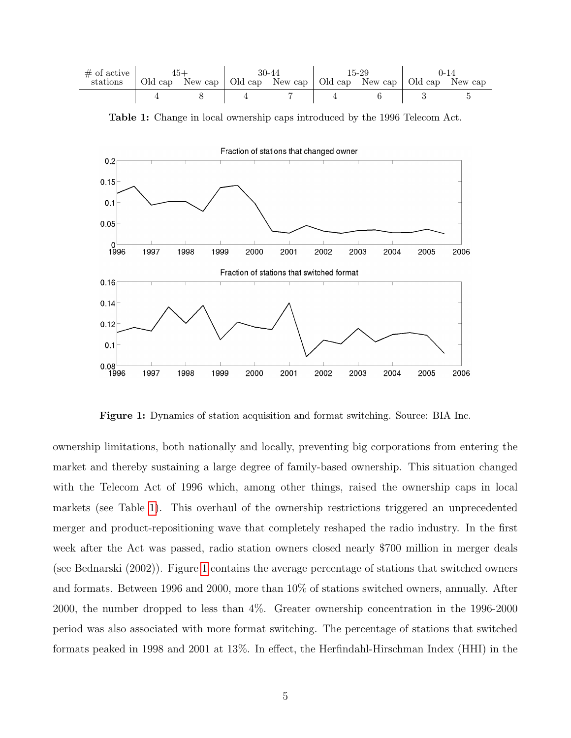<span id="page-4-0"></span>

| $\#$ of active | $45 +$ |  | 30-44 |  | $15-29$                                                               | 0-14 |  |
|----------------|--------|--|-------|--|-----------------------------------------------------------------------|------|--|
| stations       |        |  |       |  | Old cap New cap   Old cap New cap   Old cap New cap   Old cap New cap |      |  |
|                |        |  |       |  |                                                                       |      |  |

Table 1: Change in local ownership caps introduced by the 1996 Telecom Act.

<span id="page-4-1"></span>

Figure 1: Dynamics of station acquisition and format switching. Source: BIA Inc.

ownership limitations, both nationally and locally, preventing big corporations from entering the market and thereby sustaining a large degree of family-based ownership. This situation changed with the Telecom Act of 1996 which, among other things, raised the ownership caps in local markets (see Table [1\)](#page-4-0). This overhaul of the ownership restrictions triggered an unprecedented merger and product-repositioning wave that completely reshaped the radio industry. In the first week after the Act was passed, radio station owners closed nearly \$700 million in merger deals (see Bednarski (2002)). Figure [1](#page-4-1) contains the average percentage of stations that switched owners and formats. Between 1996 and 2000, more than 10% of stations switched owners, annually. After 2000, the number dropped to less than 4%. Greater ownership concentration in the 1996-2000 period was also associated with more format switching. The percentage of stations that switched formats peaked in 1998 and 2001 at 13%. In effect, the Herfindahl-Hirschman Index (HHI) in the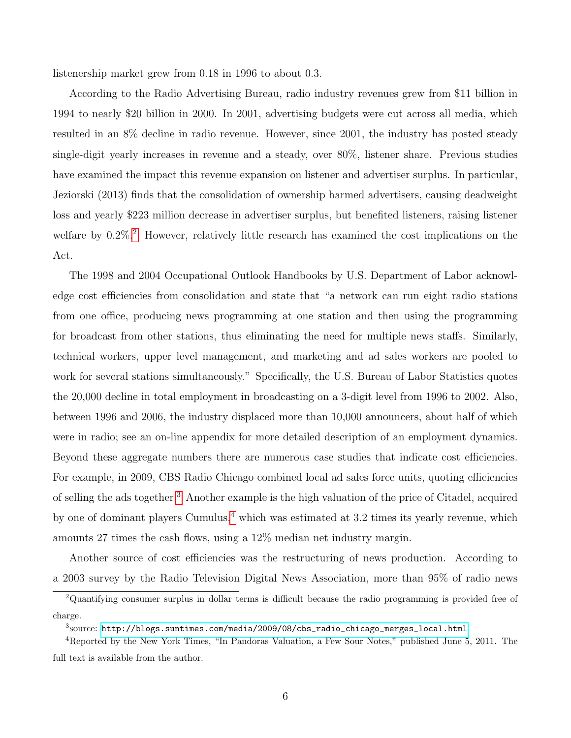listenership market grew from 0.18 in 1996 to about 0.3.

According to the Radio Advertising Bureau, radio industry revenues grew from \$11 billion in 1994 to nearly \$20 billion in 2000. In 2001, advertising budgets were cut across all media, which resulted in an 8% decline in radio revenue. However, since 2001, the industry has posted steady single-digit yearly increases in revenue and a steady, over 80%, listener share. Previous studies have examined the impact this revenue expansion on listener and advertiser surplus. In particular, Jeziorski (2013) finds that the consolidation of ownership harmed advertisers, causing deadweight loss and yearly \$223 million decrease in advertiser surplus, but benefited listeners, raising listener welfare by  $0.2\%$  $0.2\%$  $0.2\%$ .<sup>2</sup> However, relatively little research has examined the cost implications on the Act.

The 1998 and 2004 Occupational Outlook Handbooks by U.S. Department of Labor acknowledge cost efficiencies from consolidation and state that "a network can run eight radio stations from one office, producing news programming at one station and then using the programming for broadcast from other stations, thus eliminating the need for multiple news staffs. Similarly, technical workers, upper level management, and marketing and ad sales workers are pooled to work for several stations simultaneously." Specifically, the U.S. Bureau of Labor Statistics quotes the 20,000 decline in total employment in broadcasting on a 3-digit level from 1996 to 2002. Also, between 1996 and 2006, the industry displaced more than 10,000 announcers, about half of which were in radio; see an on-line appendix for more detailed description of an employment dynamics. Beyond these aggregate numbers there are numerous case studies that indicate cost efficiencies. For example, in 2009, CBS Radio Chicago combined local ad sales force units, quoting efficiencies of selling the ads together.[3](#page-5-1) Another example is the high valuation of the price of Citadel, acquired by one of dominant players Cumulus, $4$  which was estimated at 3.2 times its yearly revenue, which amounts 27 times the cash flows, using a 12% median net industry margin.

Another source of cost efficiencies was the restructuring of news production. According to a 2003 survey by the Radio Television Digital News Association, more than 95% of radio news

<span id="page-5-0"></span><sup>2</sup>Quantifying consumer surplus in dollar terms is difficult because the radio programming is provided free of charge.

<span id="page-5-2"></span><span id="page-5-1"></span> $^3\rm{source:~http://blogs.suntimes.com/media/2009/08/cbs\_radio\_chicago\_merges\_local.html}$ 

<sup>4</sup>Reported by the New York Times, "In Pandoras Valuation, a Few Sour Notes," published June 5, 2011. The full text is available from the author.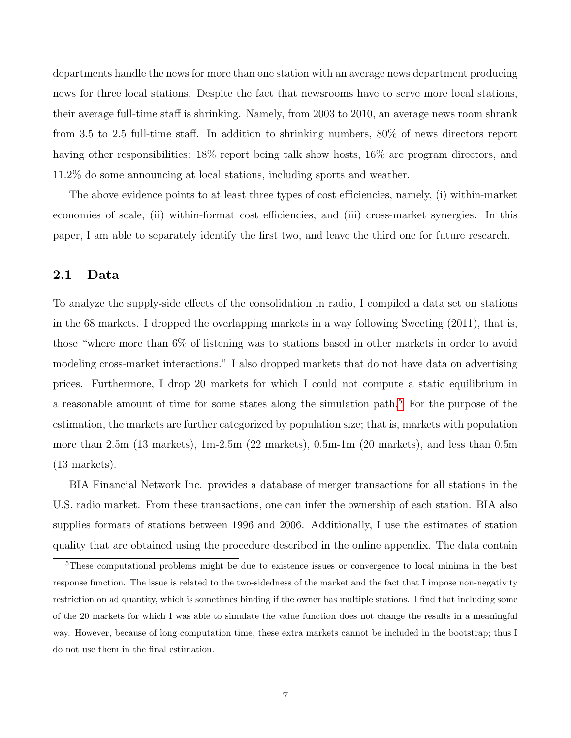departments handle the news for more than one station with an average news department producing news for three local stations. Despite the fact that newsrooms have to serve more local stations, their average full-time staff is shrinking. Namely, from 2003 to 2010, an average news room shrank from 3.5 to 2.5 full-time staff. In addition to shrinking numbers, 80% of news directors report having other responsibilities: 18% report being talk show hosts, 16% are program directors, and 11.2% do some announcing at local stations, including sports and weather.

The above evidence points to at least three types of cost efficiencies, namely, (i) within-market economies of scale, (ii) within-format cost efficiencies, and (iii) cross-market synergies. In this paper, I am able to separately identify the first two, and leave the third one for future research.

#### 2.1 Data

To analyze the supply-side effects of the consolidation in radio, I compiled a data set on stations in the 68 markets. I dropped the overlapping markets in a way following Sweeting (2011), that is, those "where more than 6% of listening was to stations based in other markets in order to avoid modeling cross-market interactions." I also dropped markets that do not have data on advertising prices. Furthermore, I drop 20 markets for which I could not compute a static equilibrium in a reasonable amount of time for some states along the simulation path.<sup>[5](#page-6-0)</sup> For the purpose of the estimation, the markets are further categorized by population size; that is, markets with population more than 2.5m (13 markets), 1m-2.5m (22 markets), 0.5m-1m (20 markets), and less than 0.5m (13 markets).

BIA Financial Network Inc. provides a database of merger transactions for all stations in the U.S. radio market. From these transactions, one can infer the ownership of each station. BIA also supplies formats of stations between 1996 and 2006. Additionally, I use the estimates of station quality that are obtained using the procedure described in the online appendix. The data contain

<span id="page-6-0"></span><sup>&</sup>lt;sup>5</sup>These computational problems might be due to existence issues or convergence to local minima in the best response function. The issue is related to the two-sidedness of the market and the fact that I impose non-negativity restriction on ad quantity, which is sometimes binding if the owner has multiple stations. I find that including some of the 20 markets for which I was able to simulate the value function does not change the results in a meaningful way. However, because of long computation time, these extra markets cannot be included in the bootstrap; thus I do not use them in the final estimation.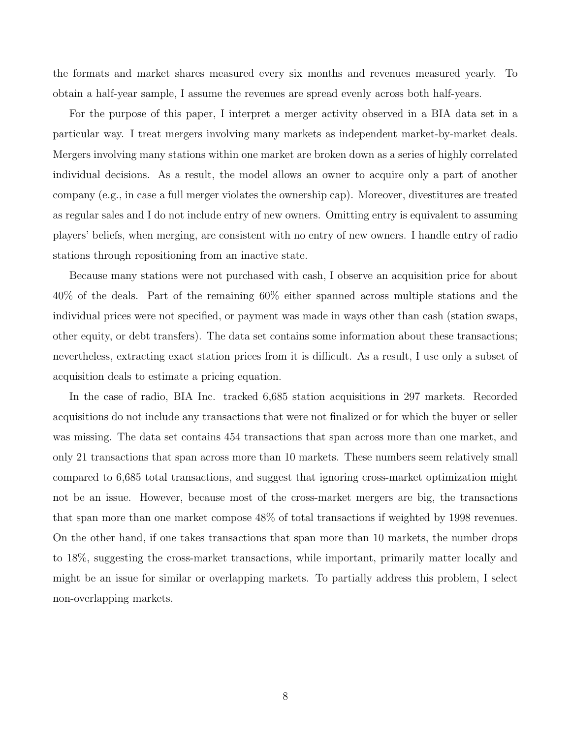the formats and market shares measured every six months and revenues measured yearly. To obtain a half-year sample, I assume the revenues are spread evenly across both half-years.

For the purpose of this paper, I interpret a merger activity observed in a BIA data set in a particular way. I treat mergers involving many markets as independent market-by-market deals. Mergers involving many stations within one market are broken down as a series of highly correlated individual decisions. As a result, the model allows an owner to acquire only a part of another company (e.g., in case a full merger violates the ownership cap). Moreover, divestitures are treated as regular sales and I do not include entry of new owners. Omitting entry is equivalent to assuming players' beliefs, when merging, are consistent with no entry of new owners. I handle entry of radio stations through repositioning from an inactive state.

Because many stations were not purchased with cash, I observe an acquisition price for about 40% of the deals. Part of the remaining 60% either spanned across multiple stations and the individual prices were not specified, or payment was made in ways other than cash (station swaps, other equity, or debt transfers). The data set contains some information about these transactions; nevertheless, extracting exact station prices from it is difficult. As a result, I use only a subset of acquisition deals to estimate a pricing equation.

In the case of radio, BIA Inc. tracked 6,685 station acquisitions in 297 markets. Recorded acquisitions do not include any transactions that were not finalized or for which the buyer or seller was missing. The data set contains 454 transactions that span across more than one market, and only 21 transactions that span across more than 10 markets. These numbers seem relatively small compared to 6,685 total transactions, and suggest that ignoring cross-market optimization might not be an issue. However, because most of the cross-market mergers are big, the transactions that span more than one market compose 48% of total transactions if weighted by 1998 revenues. On the other hand, if one takes transactions that span more than 10 markets, the number drops to 18%, suggesting the cross-market transactions, while important, primarily matter locally and might be an issue for similar or overlapping markets. To partially address this problem, I select non-overlapping markets.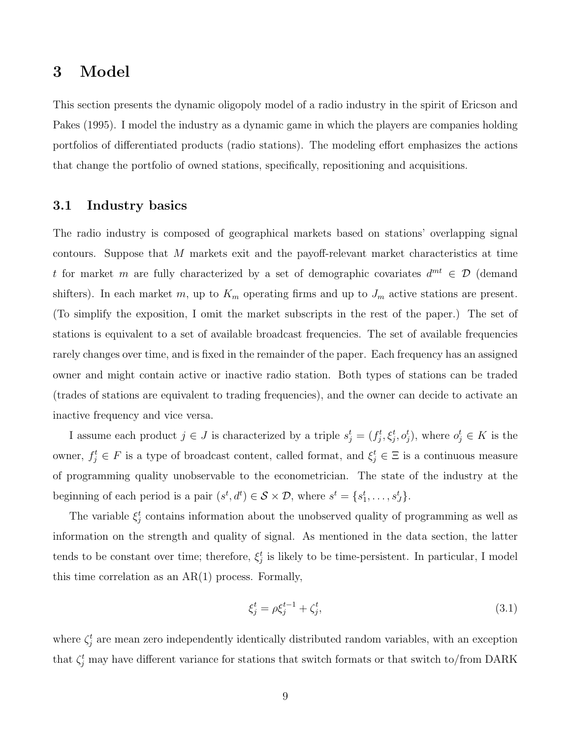## <span id="page-8-1"></span>3 Model

This section presents the dynamic oligopoly model of a radio industry in the spirit of Ericson and Pakes (1995). I model the industry as a dynamic game in which the players are companies holding portfolios of differentiated products (radio stations). The modeling effort emphasizes the actions that change the portfolio of owned stations, specifically, repositioning and acquisitions.

#### 3.1 Industry basics

The radio industry is composed of geographical markets based on stations' overlapping signal contours. Suppose that  $M$  markets exit and the payoff-relevant market characteristics at time t for market m are fully characterized by a set of demographic covariates  $d^{mt} \in \mathcal{D}$  (demand shifters). In each market m, up to  $K_m$  operating firms and up to  $J_m$  active stations are present. (To simplify the exposition, I omit the market subscripts in the rest of the paper.) The set of stations is equivalent to a set of available broadcast frequencies. The set of available frequencies rarely changes over time, and is fixed in the remainder of the paper. Each frequency has an assigned owner and might contain active or inactive radio station. Both types of stations can be traded (trades of stations are equivalent to trading frequencies), and the owner can decide to activate an inactive frequency and vice versa.

I assume each product  $j \in J$  is characterized by a triple  $s_j^t = (f_j^t, \xi_j^t, o_j^t)$ , where  $o_j^t \in K$  is the owner,  $f_j^t \in F$  is a type of broadcast content, called format, and  $\xi_j^t \in \Xi$  is a continuous measure of programming quality unobservable to the econometrician. The state of the industry at the beginning of each period is a pair  $(s^t, d^t) \in S \times \mathcal{D}$ , where  $s^t = \{s_1^t, \ldots, s_J^t\}$ .

The variable  $\xi_j^t$  contains information about the unobserved quality of programming as well as information on the strength and quality of signal. As mentioned in the data section, the latter tends to be constant over time; therefore,  $\xi_j^t$  is likely to be time-persistent. In particular, I model this time correlation as an  $AR(1)$  process. Formally,

<span id="page-8-0"></span>
$$
\xi_j^t = \rho \xi_j^{t-1} + \zeta_j^t,\tag{3.1}
$$

where  $\zeta_j^t$  are mean zero independently identically distributed random variables, with an exception that  $\zeta_j^t$  may have different variance for stations that switch formats or that switch to/from DARK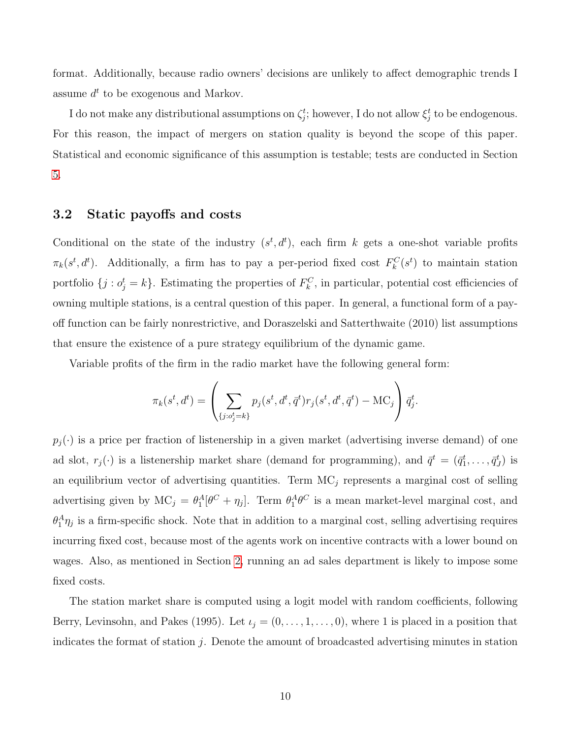format. Additionally, because radio owners' decisions are unlikely to affect demographic trends I assume  $d^t$  to be exogenous and Markov.

I do not make any distributional assumptions on  $\zeta_j^t$ ; however, I do not allow  $\xi_j^t$  to be endogenous. For this reason, the impact of mergers on station quality is beyond the scope of this paper. Statistical and economic significance of this assumption is testable; tests are conducted in Section [5.](#page-24-0)

#### 3.2 Static payoffs and costs

Conditional on the state of the industry  $(s^t, d^t)$ , each firm k gets a one-shot variable profits  $\pi_k(s^t, d^t)$ . Additionally, a firm has to pay a per-period fixed cost  $F_k^C(s^t)$  to maintain station portfolio  $\{j : o_j^t = k\}$ . Estimating the properties of  $F_k^C$ , in particular, potential cost efficiencies of owning multiple stations, is a central question of this paper. In general, a functional form of a payoff function can be fairly nonrestrictive, and Doraszelski and Satterthwaite (2010) list assumptions that ensure the existence of a pure strategy equilibrium of the dynamic game.

Variable profits of the firm in the radio market have the following general form:

$$
\pi_k(s^t, d^t) = \left(\sum_{\{j: o_j^t = k\}} p_j(s^t, d^t, \bar{q}^t) r_j(s^t, d^t, \bar{q}^t) - \text{MC}_j\right) \bar{q}_j^t.
$$

 $p_j(\cdot)$  is a price per fraction of listenership in a given market (advertising inverse demand) of one ad slot,  $r_j(\cdot)$  is a listenership market share (demand for programming), and  $\bar{q}^t = (\bar{q}_1^t, \ldots, \bar{q}_J^t)$  is an equilibrium vector of advertising quantities. Term  $MC_j$  represents a marginal cost of selling advertising given by  $MC_j = \theta_1^A[\theta^C + \eta_j]$ . Term  $\theta_1^A \theta^C$  is a mean market-level marginal cost, and  $\theta_1^A \eta_j$  is a firm-specific shock. Note that in addition to a marginal cost, selling advertising requires incurring fixed cost, because most of the agents work on incentive contracts with a lower bound on wages. Also, as mentioned in Section [2,](#page-3-0) running an ad sales department is likely to impose some fixed costs.

The station market share is computed using a logit model with random coefficients, following Berry, Levinsohn, and Pakes (1995). Let  $\iota_j = (0, \ldots, 1, \ldots, 0)$ , where 1 is placed in a position that indicates the format of station  $i$ . Denote the amount of broadcasted advertising minutes in station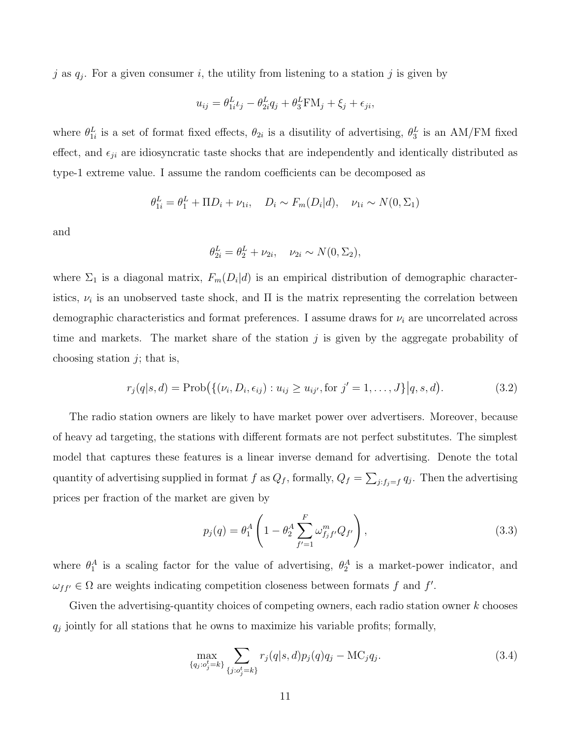j as  $q_j$ . For a given consumer i, the utility from listening to a station j is given by

$$
u_{ij} = \theta_{1i}^L \iota_j - \theta_{2i}^L q_j + \theta_3^L \text{FM}_j + \xi_j + \epsilon_{ji},
$$

where  $\theta_{1i}^L$  is a set of format fixed effects,  $\theta_{2i}$  is a disutility of advertising,  $\theta_3^L$  is an AM/FM fixed effect, and  $\epsilon_{ji}$  are idiosyncratic taste shocks that are independently and identically distributed as type-1 extreme value. I assume the random coefficients can be decomposed as

$$
\theta_{1i}^{L} = \theta_1^{L} + \Pi D_i + \nu_{1i}, \quad D_i \sim F_m(D_i|d), \quad \nu_{1i} \sim N(0, \Sigma_1)
$$

and

$$
\theta_{2i}^L = \theta_2^L + \nu_{2i}, \quad \nu_{2i} \sim N(0, \Sigma_2),
$$

where  $\Sigma_1$  is a diagonal matrix,  $F_m(D_i|d)$  is an empirical distribution of demographic characteristics,  $\nu_i$  is an unobserved taste shock, and  $\Pi$  is the matrix representing the correlation between demographic characteristics and format preferences. I assume draws for  $\nu_i$  are uncorrelated across time and markets. The market share of the station  $j$  is given by the aggregate probability of choosing station  $j$ ; that is,

<span id="page-10-0"></span>
$$
r_j(q|s,d) = \text{Prob}\big(\{(\nu_i, D_i, \epsilon_{ij}) : u_{ij} \ge u_{ij'}, \text{for } j' = 1, ..., J\} | q, s, d\big). \tag{3.2}
$$

The radio station owners are likely to have market power over advertisers. Moreover, because of heavy ad targeting, the stations with different formats are not perfect substitutes. The simplest model that captures these features is a linear inverse demand for advertising. Denote the total quantity of advertising supplied in format f as  $Q_f$ , formally,  $Q_f = \sum_{j:f_j=f} q_j$ . Then the advertising prices per fraction of the market are given by

$$
p_j(q) = \theta_1^A \left( 1 - \theta_2^A \sum_{f'=1}^F \omega_{f_j f'}^m Q_{f'} \right), \qquad (3.3)
$$

where  $\theta_1^A$  is a scaling factor for the value of advertising,  $\theta_2^A$  is a market-power indicator, and  $\omega_{ff'} \in \Omega$  are weights indicating competition closeness between formats f and f'.

Given the advertising-quantity choices of competing owners, each radio station owner  $k$  chooses  $q_j$  jointly for all stations that he owns to maximize his variable profits; formally,

$$
\max_{\{q_j: o_j^t = k\}} \sum_{\{j: o_j^t = k\}} r_j(q|s, d) p_j(q) q_j - \text{MC}_j q_j. \tag{3.4}
$$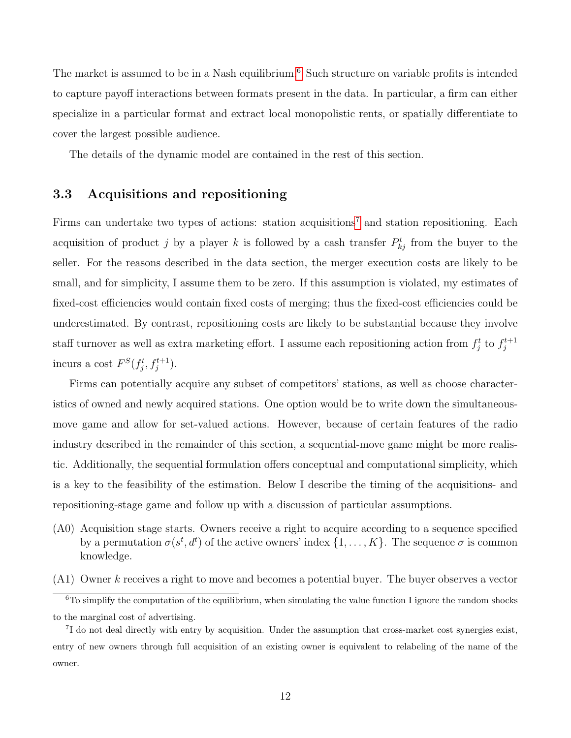The market is assumed to be in a Nash equilibrium.<sup>[6](#page-11-0)</sup> Such structure on variable profits is intended to capture payoff interactions between formats present in the data. In particular, a firm can either specialize in a particular format and extract local monopolistic rents, or spatially differentiate to cover the largest possible audience.

The details of the dynamic model are contained in the rest of this section.

#### <span id="page-11-2"></span>3.3 Acquisitions and repositioning

Firms can undertake two types of actions: station acquisitions<sup>[7](#page-11-1)</sup> and station repositioning. Each acquisition of product j by a player k is followed by a cash transfer  $P_{kj}^t$  from the buyer to the seller. For the reasons described in the data section, the merger execution costs are likely to be small, and for simplicity, I assume them to be zero. If this assumption is violated, my estimates of fixed-cost efficiencies would contain fixed costs of merging; thus the fixed-cost efficiencies could be underestimated. By contrast, repositioning costs are likely to be substantial because they involve staff turnover as well as extra marketing effort. I assume each repositioning action from  $f_j^t$  to  $f_j^{t+1}$ j incurs a cost  $F^S(f_j^t, f_j^{t+1})$ .

Firms can potentially acquire any subset of competitors' stations, as well as choose characteristics of owned and newly acquired stations. One option would be to write down the simultaneousmove game and allow for set-valued actions. However, because of certain features of the radio industry described in the remainder of this section, a sequential-move game might be more realistic. Additionally, the sequential formulation offers conceptual and computational simplicity, which is a key to the feasibility of the estimation. Below I describe the timing of the acquisitions- and repositioning-stage game and follow up with a discussion of particular assumptions.

- (A0) Acquisition stage starts. Owners receive a right to acquire according to a sequence specified by a permutation  $\sigma(s^t, d^t)$  of the active owners' index  $\{1, \ldots, K\}$ . The sequence  $\sigma$  is common knowledge.
- (A1) Owner k receives a right to move and becomes a potential buyer. The buyer observes a vector

<span id="page-11-0"></span> $6T_0$  simplify the computation of the equilibrium, when simulating the value function I ignore the random shocks to the marginal cost of advertising.

<span id="page-11-1"></span><sup>&</sup>lt;sup>7</sup>I do not deal directly with entry by acquisition. Under the assumption that cross-market cost synergies exist, entry of new owners through full acquisition of an existing owner is equivalent to relabeling of the name of the owner.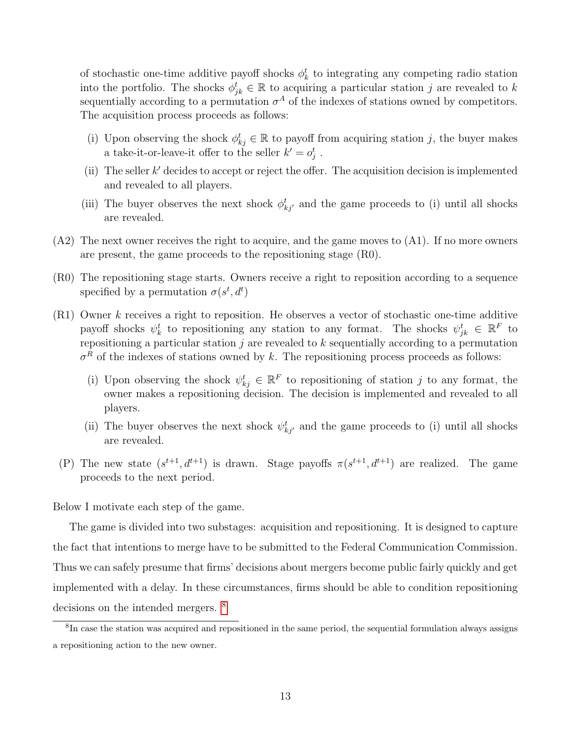of stochastic one-time additive payoff shocks  $\phi_k^t$  to integrating any competing radio station into the portfolio. The shocks  $\phi_{jk}^t \in \mathbb{R}$  to acquiring a particular station j are revealed to k sequentially according to a permutation  $\sigma^A$  of the indexes of stations owned by competitors. The acquisition process proceeds as follows:

- (i) Upon observing the shock  $\phi_{kj}^t \in \mathbb{R}$  to payoff from acquiring station j, the buyer makes a take-it-or-leave-it offer to the seller  $k' = o_j^t$ .
- (ii) The seller  $k'$  decides to accept or reject the offer. The acquisition decision is implemented and revealed to all players.
- (iii) The buyer observes the next shock  $\phi_{kj}^t$  and the game proceeds to (i) until all shocks are revealed.
- (A2) The next owner receives the right to acquire, and the game moves to (A1). If no more owners are present, the game proceeds to the repositioning stage (R0).
- (R0) The repositioning stage starts. Owners receive a right to reposition according to a sequence specified by a permutation  $\sigma(s^t, d^t)$
- (R1) Owner k receives a right to reposition. He observes a vector of stochastic one-time additive payoff shocks  $\psi_k^t$  to repositioning any station to any format. The shocks  $\psi_{jk}^t \in \mathbb{R}^F$  to repositioning a particular station  $j$  are revealed to  $k$  sequentially according to a permutation  $\sigma^R$  of the indexes of stations owned by k. The repositioning process proceeds as follows:
	- (i) Upon observing the shock  $\psi_{kj}^t \in \mathbb{R}^F$  to repositioning of station j to any format, the owner makes a repositioning decision. The decision is implemented and revealed to all players.
	- (ii) The buyer observes the next shock  $\psi_{kj}^t$  and the game proceeds to (i) until all shocks are revealed.
	- (P) The new state  $(s^{t+1}, d^{t+1})$  is drawn. Stage payoffs  $\pi(s^{t+1}, d^{t+1})$  are realized. The game proceeds to the next period.

Below I motivate each step of the game.

The game is divided into two substages: acquisition and repositioning. It is designed to capture the fact that intentions to merge have to be submitted to the Federal Communication Commission. Thus we can safely presume that firms' decisions about mergers become public fairly quickly and get implemented with a delay. In these circumstances, firms should be able to condition repositioning decisions on the intended mergers.  $8$ 

<span id="page-12-0"></span><sup>&</sup>lt;sup>8</sup>In case the station was acquired and repositioned in the same period, the sequential formulation always assigns a repositioning action to the new owner.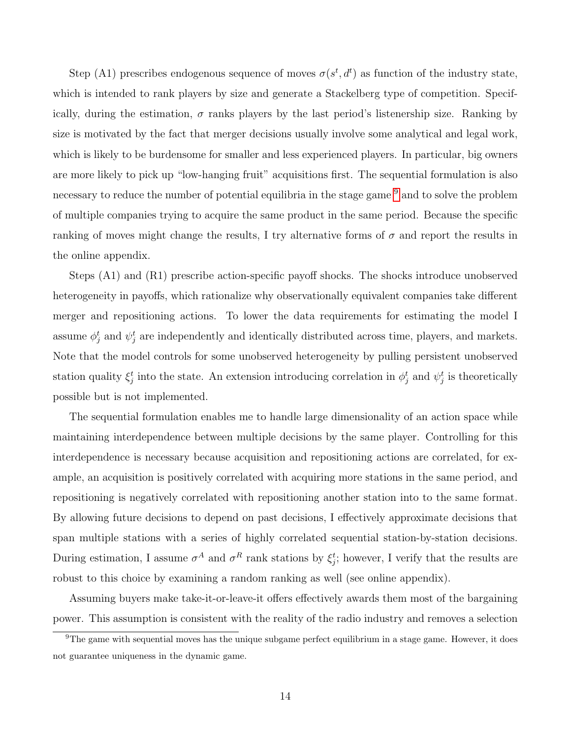Step (A1) prescribes endogenous sequence of moves  $\sigma(s^t, d^t)$  as function of the industry state, which is intended to rank players by size and generate a Stackelberg type of competition. Specifically, during the estimation,  $\sigma$  ranks players by the last period's listenership size. Ranking by size is motivated by the fact that merger decisions usually involve some analytical and legal work, which is likely to be burdensome for smaller and less experienced players. In particular, big owners are more likely to pick up "low-hanging fruit" acquisitions first. The sequential formulation is also necessary to reduce the number of potential equilibria in the stage game  $9$  and to solve the problem of multiple companies trying to acquire the same product in the same period. Because the specific ranking of moves might change the results, I try alternative forms of  $\sigma$  and report the results in the online appendix.

Steps (A1) and (R1) prescribe action-specific payoff shocks. The shocks introduce unobserved heterogeneity in payoffs, which rationalize why observationally equivalent companies take different merger and repositioning actions. To lower the data requirements for estimating the model I assume  $\phi_j^t$  and  $\psi_j^t$  are independently and identically distributed across time, players, and markets. Note that the model controls for some unobserved heterogeneity by pulling persistent unobserved station quality  $\xi_j^t$  into the state. An extension introducing correlation in  $\phi_j^t$  and  $\psi_j^t$  is theoretically possible but is not implemented.

The sequential formulation enables me to handle large dimensionality of an action space while maintaining interdependence between multiple decisions by the same player. Controlling for this interdependence is necessary because acquisition and repositioning actions are correlated, for example, an acquisition is positively correlated with acquiring more stations in the same period, and repositioning is negatively correlated with repositioning another station into to the same format. By allowing future decisions to depend on past decisions, I effectively approximate decisions that span multiple stations with a series of highly correlated sequential station-by-station decisions. During estimation, I assume  $\sigma^A$  and  $\sigma^R$  rank stations by  $\xi_j^t$ ; however, I verify that the results are robust to this choice by examining a random ranking as well (see online appendix).

Assuming buyers make take-it-or-leave-it offers effectively awards them most of the bargaining power. This assumption is consistent with the reality of the radio industry and removes a selection

<span id="page-13-0"></span><sup>&</sup>lt;sup>9</sup>The game with sequential moves has the unique subgame perfect equilibrium in a stage game. However, it does not guarantee uniqueness in the dynamic game.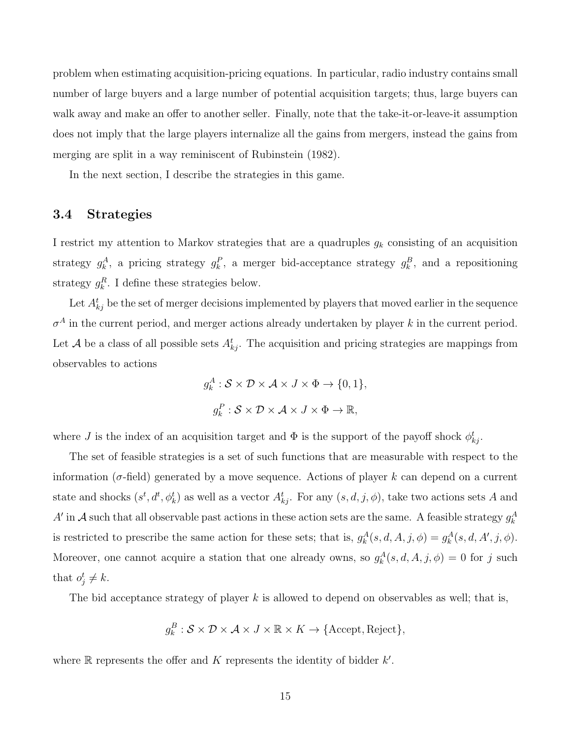problem when estimating acquisition-pricing equations. In particular, radio industry contains small number of large buyers and a large number of potential acquisition targets; thus, large buyers can walk away and make an offer to another seller. Finally, note that the take-it-or-leave-it assumption does not imply that the large players internalize all the gains from mergers, instead the gains from merging are split in a way reminiscent of Rubinstein (1982).

In the next section, I describe the strategies in this game.

### 3.4 Strategies

I restrict my attention to Markov strategies that are a quadruples  $g_k$  consisting of an acquisition strategy  $g_k^A$ , a pricing strategy  $g_k^P$ , a merger bid-acceptance strategy  $g_k^B$ , and a repositioning strategy  $g_k^R$ . I define these strategies below.

Let  $A_{kj}^t$  be the set of merger decisions implemented by players that moved earlier in the sequence  $\sigma^A$  in the current period, and merger actions already undertaken by player k in the current period. Let A be a class of all possible sets  $A_{kj}^t$ . The acquisition and pricing strategies are mappings from observables to actions

$$
g_k^A : \mathcal{S} \times \mathcal{D} \times \mathcal{A} \times J \times \Phi \to \{0, 1\},
$$
  

$$
g_k^P : \mathcal{S} \times \mathcal{D} \times \mathcal{A} \times J \times \Phi \to \mathbb{R},
$$

where J is the index of an acquisition target and  $\Phi$  is the support of the payoff shock  $\phi_{kj}^t$ .

The set of feasible strategies is a set of such functions that are measurable with respect to the information ( $\sigma$ -field) generated by a move sequence. Actions of player k can depend on a current state and shocks  $(s^t, d^t, \phi^t_k)$  as well as a vector  $A^t_{kj}$ . For any  $(s, d, j, \phi)$ , take two actions sets A and A' in A such that all observable past actions in these action sets are the same. A feasible strategy  $g_k^A$ is restricted to prescribe the same action for these sets; that is,  $g_k^A(s, d, A, j, \phi) = g_k^A(s, d, A', j, \phi)$ . Moreover, one cannot acquire a station that one already owns, so  $g_k^A(s, d, A, j, \phi) = 0$  for j such that  $o_j^t \neq k$ .

The bid acceptance strategy of player  $k$  is allowed to depend on observables as well; that is,

$$
g_k^B: \mathcal{S} \times \mathcal{D} \times \mathcal{A} \times J \times \mathbb{R} \times K \rightarrow \{\text{Accept}, \text{Reject}\},
$$

where  $\mathbb R$  represents the offer and  $K$  represents the identity of bidder  $k'$ .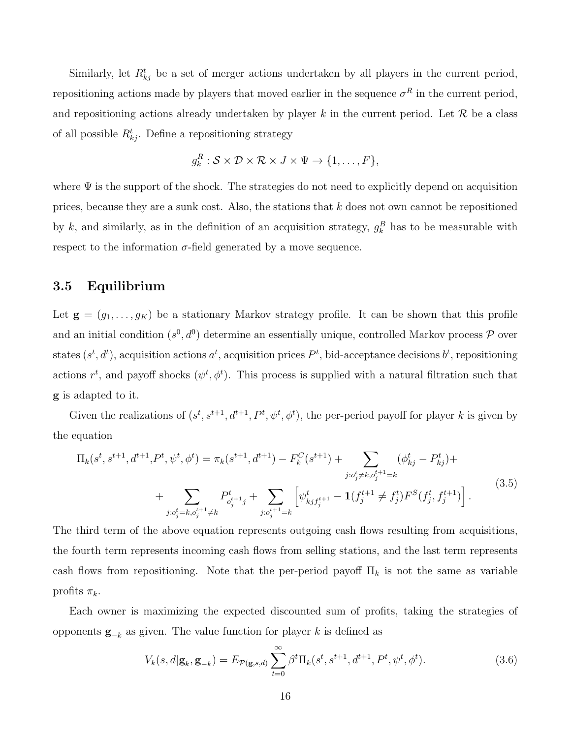Similarly, let  $R_{kj}^t$  be a set of merger actions undertaken by all players in the current period, repositioning actions made by players that moved earlier in the sequence  $\sigma^R$  in the current period, and repositioning actions already undertaken by player k in the current period. Let  $R$  be a class of all possible  $R_{kj}^t$ . Define a repositioning strategy

$$
g_k^R : \mathcal{S} \times \mathcal{D} \times \mathcal{R} \times J \times \Psi \to \{1, \ldots, F\},\
$$

where  $\Psi$  is the support of the shock. The strategies do not need to explicitly depend on acquisition prices, because they are a sunk cost. Also, the stations that k does not own cannot be repositioned by k, and similarly, as in the definition of an acquisition strategy,  $g_k^B$  has to be measurable with respect to the information  $\sigma$ -field generated by a move sequence.

#### 3.5 Equilibrium

Let  $\mathbf{g} = (g_1, \ldots, g_K)$  be a stationary Markov strategy profile. It can be shown that this profile and an initial condition  $(s^0, d^0)$  determine an essentially unique, controlled Markov process  $\mathcal P$  over states  $(s^t, d^t)$ , acquisition actions  $a^t$ , acquisition prices  $P^t$ , bid-acceptance decisions  $b^t$ , repositioning actions  $r^t$ , and payoff shocks  $(\psi^t, \phi^t)$ . This process is supplied with a natural filtration such that g is adapted to it.

Given the realizations of  $(s^t, s^{t+1}, d^{t+1}, P^t, \psi^t, \phi^t)$ , the per-period payoff for player k is given by the equation

$$
\Pi_k(s^t, s^{t+1}, d^{t+1}, P^t, \psi^t, \phi^t) = \pi_k(s^{t+1}, d^{t+1}) - F_k^C(s^{t+1}) + \sum_{\substack{j: o_j^t \neq k, o_j^{t+1} = k}} (\phi_{kj}^t - P_{kj}^t) + \sum_{\substack{j: o_j^t = k, o_j^{t+1} \neq k}} P_{o_j^{t+1}, j}^t + \sum_{\substack{j: o_j^{t+1} = k}} \left[ \psi_{kjf_j^{t+1}}^t - \mathbf{1}(f_j^{t+1} \neq f_j^t) F^S(f_j^t, f_j^{t+1}) \right].
$$
\n(3.5)

The third term of the above equation represents outgoing cash flows resulting from acquisitions, the fourth term represents incoming cash flows from selling stations, and the last term represents cash flows from repositioning. Note that the per-period payoff  $\Pi_k$  is not the same as variable profits  $\pi_k$ .

Each owner is maximizing the expected discounted sum of profits, taking the strategies of opponents  $\mathbf{g}_{-k}$  as given. The value function for player k is defined as

<span id="page-15-0"></span>
$$
V_k(s, d | \mathbf{g}_k, \mathbf{g}_{-k}) = E_{\mathcal{P}(\mathbf{g}, s, d)} \sum_{t=0}^{\infty} \beta^t \Pi_k(s^t, s^{t+1}, d^{t+1}, P^t, \psi^t, \phi^t).
$$
(3.6)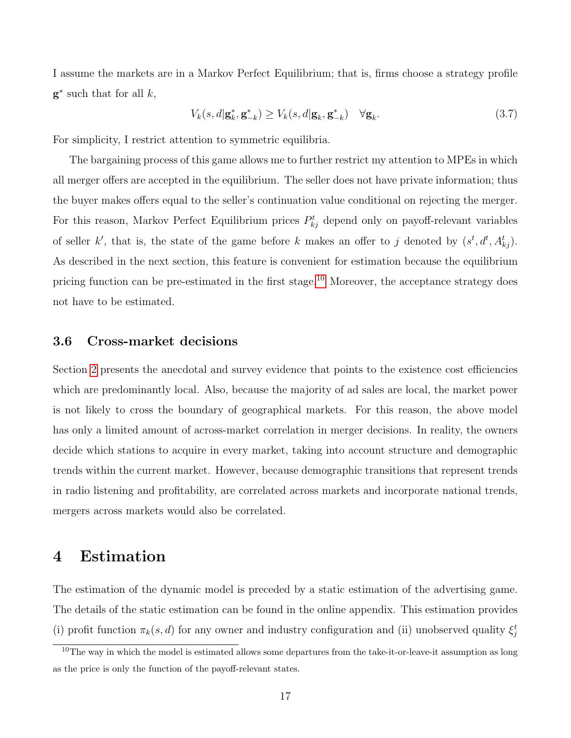I assume the markets are in a Markov Perfect Equilibrium; that is, firms choose a strategy profile  $\mathbf{g}^*$  such that for all  $k$ ,

<span id="page-16-1"></span>
$$
V_k(s, d|\mathbf{g}_k^*, \mathbf{g}_{-k}^*) \ge V_k(s, d|\mathbf{g}_k, \mathbf{g}_{-k}^*) \quad \forall \mathbf{g}_k. \tag{3.7}
$$

For simplicity, I restrict attention to symmetric equilibria.

The bargaining process of this game allows me to further restrict my attention to MPEs in which all merger offers are accepted in the equilibrium. The seller does not have private information; thus the buyer makes offers equal to the seller's continuation value conditional on rejecting the merger. For this reason, Markov Perfect Equilibrium prices  $P_{kj}^t$  depend only on payoff-relevant variables of seller k', that is, the state of the game before k makes an offer to j denoted by  $(s^t, d^t, A^t_{kj})$ . As described in the next section, this feature is convenient for estimation because the equilibrium pricing function can be pre-estimated in the first stage.<sup>[10](#page-16-0)</sup> Moreover, the acceptance strategy does not have to be estimated.

#### 3.6 Cross-market decisions

Section [2](#page-3-0) presents the anecdotal and survey evidence that points to the existence cost efficiencies which are predominantly local. Also, because the majority of ad sales are local, the market power is not likely to cross the boundary of geographical markets. For this reason, the above model has only a limited amount of across-market correlation in merger decisions. In reality, the owners decide which stations to acquire in every market, taking into account structure and demographic trends within the current market. However, because demographic transitions that represent trends in radio listening and profitability, are correlated across markets and incorporate national trends, mergers across markets would also be correlated.

## 4 Estimation

The estimation of the dynamic model is preceded by a static estimation of the advertising game. The details of the static estimation can be found in the online appendix. This estimation provides (i) profit function  $\pi_k(s, d)$  for any owner and industry configuration and (ii) unobserved quality  $\xi_j^t$ 

<span id="page-16-0"></span> $10$ The way in which the model is estimated allows some departures from the take-it-or-leave-it assumption as long as the price is only the function of the payoff-relevant states.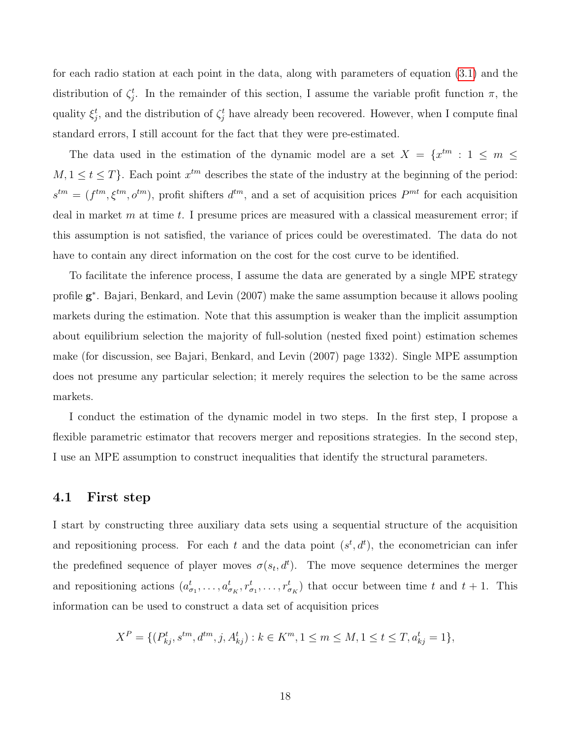for each radio station at each point in the data, along with parameters of equation [\(3.1\)](#page-8-0) and the distribution of  $\zeta_j^t$ . In the remainder of this section, I assume the variable profit function  $\pi$ , the quality  $\xi_j^t$ , and the distribution of  $\zeta_j^t$  have already been recovered. However, when I compute final standard errors, I still account for the fact that they were pre-estimated.

The data used in the estimation of the dynamic model are a set  $X = \{x^{tm} : 1 \leq m \leq \}$  $M, 1 \leq t \leq T$ . Each point  $x^{tm}$  describes the state of the industry at the beginning of the period:  $s^{tm} = (f^{tm}, \xi^{tm}, o^{tm})$ , profit shifters  $d^{tm}$ , and a set of acquisition prices  $P^{mt}$  for each acquisition deal in market  $m$  at time  $t$ . I presume prices are measured with a classical measurement error; if this assumption is not satisfied, the variance of prices could be overestimated. The data do not have to contain any direct information on the cost for the cost curve to be identified.

To facilitate the inference process, I assume the data are generated by a single MPE strategy profile  $g^*$ . Bajari, Benkard, and Levin (2007) make the same assumption because it allows pooling markets during the estimation. Note that this assumption is weaker than the implicit assumption about equilibrium selection the majority of full-solution (nested fixed point) estimation schemes make (for discussion, see Bajari, Benkard, and Levin (2007) page 1332). Single MPE assumption does not presume any particular selection; it merely requires the selection to be the same across markets.

I conduct the estimation of the dynamic model in two steps. In the first step, I propose a flexible parametric estimator that recovers merger and repositions strategies. In the second step, I use an MPE assumption to construct inequalities that identify the structural parameters.

#### 4.1 First step

I start by constructing three auxiliary data sets using a sequential structure of the acquisition and repositioning process. For each t and the data point  $(s^t, d^t)$ , the econometrician can infer the predefined sequence of player moves  $\sigma(s_t, d^t)$ . The move sequence determines the merger and repositioning actions  $(a_{\sigma_1}^t, \ldots, a_{\sigma_K}^t, r_{\sigma_1}^t, \ldots, r_{\sigma_K}^t)$  that occur between time t and  $t + 1$ . This information can be used to construct a data set of acquisition prices

$$
X^{P} = \{ (P_{kj}^{t}, s^{tm}, d^{tm}, j, A_{kj}^{t}) : k \in K^{m}, 1 \le m \le M, 1 \le t \le T, a_{kj}^{t} = 1 \},\
$$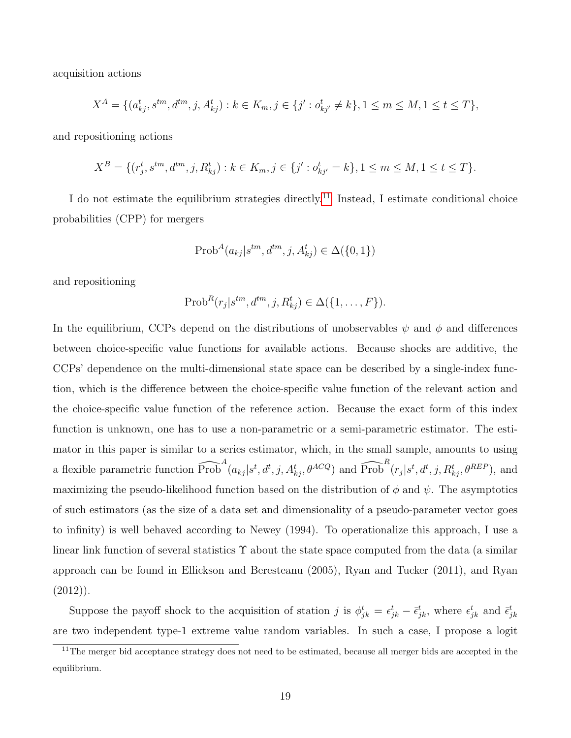acquisition actions

$$
X^{A} = \{ (a_{kj}^{t}, s^{tm}, d^{tm}, j, A_{kj}^{t}) : k \in K_{m}, j \in \{j' : o_{kj'}^{t} \neq k\}, 1 \leq m \leq M, 1 \leq t \leq T\},\
$$

and repositioning actions

$$
X^{B} = \{ (r_j^t, s^{tm}, d^{tm}, j, R_{kj}^t) : k \in K_m, j \in \{j' : o_{kj'}^t = k\}, 1 \le m \le M, 1 \le t \le T \}.
$$

I do not estimate the equilibrium strategies directly.<sup>[11](#page-18-0)</sup> Instead, I estimate conditional choice probabilities (CPP) for mergers

$$
\mathrm{Prob}^A(a_{kj}|s^{tm}, d^{tm}, j, A^t_{kj}) \in \Delta(\{0, 1\})
$$

and repositioning

$$
ProbR(rj|stm, dtm, j, Rtkj) \in \Delta({1, ..., F}).
$$

In the equilibrium, CCPs depend on the distributions of unobservables  $\psi$  and  $\phi$  and differences between choice-specific value functions for available actions. Because shocks are additive, the CCPs' dependence on the multi-dimensional state space can be described by a single-index function, which is the difference between the choice-specific value function of the relevant action and the choice-specific value function of the reference action. Because the exact form of this index function is unknown, one has to use a non-parametric or a semi-parametric estimator. The estimator in this paper is similar to a series estimator, which, in the small sample, amounts to using a flexible parametric function  $\widehat{\text{Prob}}^A(a_{kj} | s^t, d^t, j, A^t_{kj}, \theta^{ACQ})$  and  $\widehat{\text{Prob}}^R(r_j | s^t, d^t, j, R^t_{kj}, \theta^{REP})$ , and maximizing the pseudo-likelihood function based on the distribution of  $\phi$  and  $\psi$ . The asymptotics of such estimators (as the size of a data set and dimensionality of a pseudo-parameter vector goes to infinity) is well behaved according to Newey (1994). To operationalize this approach, I use a linear link function of several statistics  $\Upsilon$  about the state space computed from the data (a similar approach can be found in Ellickson and Beresteanu (2005), Ryan and Tucker (2011), and Ryan  $(2012)$ ).

Suppose the payoff shock to the acquisition of station j is  $\phi_{jk}^t = \epsilon_{jk}^t - \bar{\epsilon}_{jk}^t$ , where  $\epsilon_{jk}^t$  and  $\bar{\epsilon}_{jk}^t$ are two independent type-1 extreme value random variables. In such a case, I propose a logit

<span id="page-18-0"></span><sup>&</sup>lt;sup>11</sup>The merger bid acceptance strategy does not need to be estimated, because all merger bids are accepted in the equilibrium.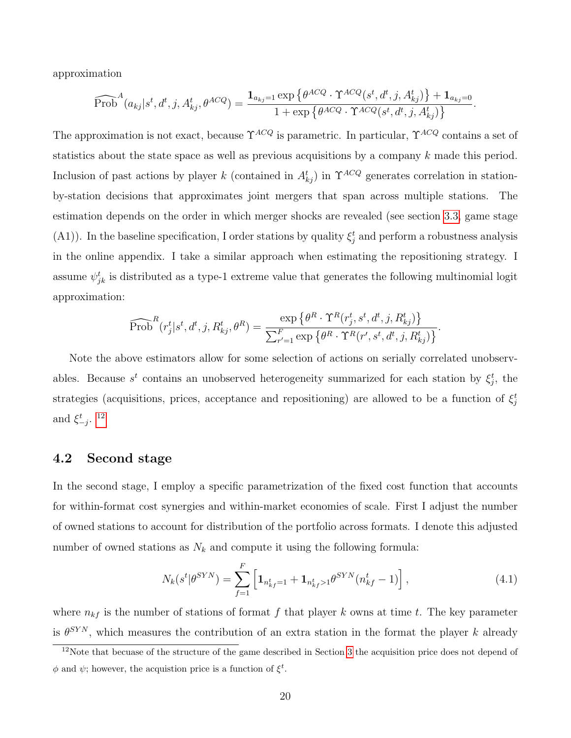approximation

$$
\widehat{\mathrm{Prob}}^A(a_{kj}|s^t, d^t, j, A^t_{kj}, \theta^{ACQ}) = \frac{\mathbf{1}_{a_{kj}=1} \exp \left\{ \theta^{ACQ} \cdot \Upsilon^{ACQ}(s^t, d^t, j, A^t_{kj}) \right\} + \mathbf{1}_{a_{kj}=0}}{1 + \exp \left\{ \theta^{ACQ} \cdot \Upsilon^{ACQ}(s^t, d^t, j, A^t_{kj}) \right\}}.
$$

The approximation is not exact, because  $\Upsilon^{ACQ}$  is parametric. In particular,  $\Upsilon^{ACQ}$  contains a set of statistics about the state space as well as previous acquisitions by a company k made this period. Inclusion of past actions by player k (contained in  $A_{kj}^t$ ) in  $\Upsilon^{ACQ}$  generates correlation in stationby-station decisions that approximates joint mergers that span across multiple stations. The estimation depends on the order in which merger shocks are revealed (see section [3.3,](#page-11-2) game stage (A1)). In the baseline specification, I order stations by quality  $\xi_j^t$  and perform a robustness analysis in the online appendix. I take a similar approach when estimating the repositioning strategy. I assume  $\psi_{jk}^t$  is distributed as a type-1 extreme value that generates the following multinomial logit approximation:

$$
\widehat{\mathrm{Prob}}^R(r_j^t|s^t, d^t, j, R_{kj}^t, \theta^R) = \frac{\exp\left\{\theta^R \cdot \Upsilon^R(r_j^t, s^t, d^t, j, R_{kj}^t)\right\}}{\sum_{r'=1}^F \exp\left\{\theta^R \cdot \Upsilon^R(r', s^t, d^t, j, R_{kj}^t)\right\}}.
$$

Note the above estimators allow for some selection of actions on serially correlated unobservables. Because  $s^t$  contains an unobserved heterogeneity summarized for each station by  $\xi_j^t$ , the strategies (acquisitions, prices, acceptance and repositioning) are allowed to be a function of  $\xi_j^t$ and  $\xi_{-j}^{t}$ . <sup>[12](#page-19-0)</sup>

#### 4.2 Second stage

In the second stage, I employ a specific parametrization of the fixed cost function that accounts for within-format cost synergies and within-market economies of scale. First I adjust the number of owned stations to account for distribution of the portfolio across formats. I denote this adjusted number of owned stations as  $N_k$  and compute it using the following formula:

$$
N_k(s^t | \theta^{SYN}) = \sum_{f=1}^F \left[ \mathbf{1}_{n_{kf}^t = 1} + \mathbf{1}_{n_{kf}^t > 1} \theta^{SYN} (n_{kf}^t - 1) \right],\tag{4.1}
$$

where  $n_{kf}$  is the number of stations of format f that player k owns at time t. The key parameter is  $\theta^{SYN}$ , which measures the contribution of an extra station in the format the player k already

<span id="page-19-0"></span><sup>&</sup>lt;sup>12</sup>Note that becuase of the structure of the game described in Section [3](#page-8-1) the acquisition price does not depend of  $\phi$  and  $\psi$ ; however, the acquistion price is a function of  $\xi^t$ .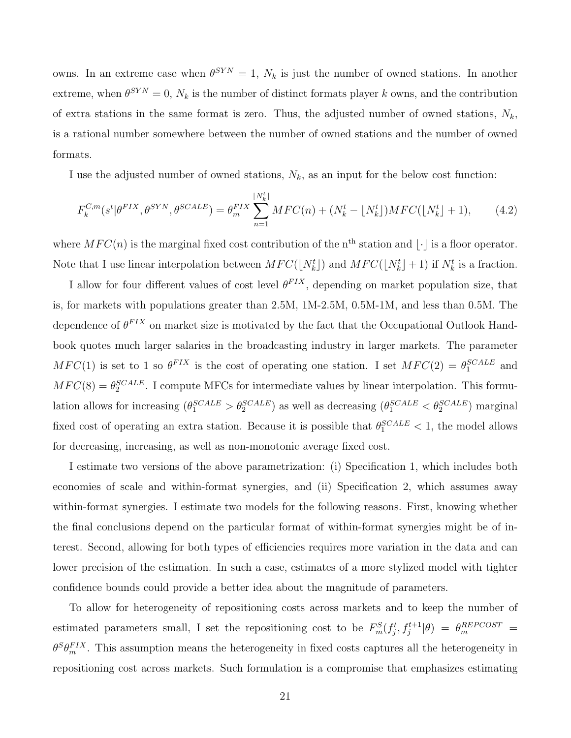owns. In an extreme case when  $\theta^{SYN} = 1$ ,  $N_k$  is just the number of owned stations. In another extreme, when  $\theta^{SYN} = 0$ ,  $N_k$  is the number of distinct formats player k owns, and the contribution of extra stations in the same format is zero. Thus, the adjusted number of owned stations,  $N_k$ , is a rational number somewhere between the number of owned stations and the number of owned formats.

I use the adjusted number of owned stations,  $N_k$ , as an input for the below cost function:

$$
F_k^{C,m}(s^t|\theta^{FIX},\theta^{SYN},\theta^{SCALE}) = \theta_m^{FIX} \sum_{n=1}^{\lfloor N_k^t \rfloor} MFC(n) + (N_k^t - \lfloor N_k^t \rfloor) MFC(\lfloor N_k^t \rfloor + 1),\tag{4.2}
$$

where  $MFC(n)$  is the marginal fixed cost contribution of the n<sup>th</sup> station and  $\lfloor \cdot \rfloor$  is a floor operator. Note that I use linear interpolation between  $MFC(\lfloor N_k^t \rfloor)$  and  $MFC(\lfloor N_k^t \rfloor + 1)$  if  $N_k^t$  is a fraction.

I allow for four different values of cost level  $\theta^{FIX}$ , depending on market population size, that is, for markets with populations greater than 2.5M, 1M-2.5M, 0.5M-1M, and less than 0.5M. The dependence of  $\theta^{FIX}$  on market size is motivated by the fact that the Occupational Outlook Handbook quotes much larger salaries in the broadcasting industry in larger markets. The parameter  $MFC(1)$  is set to 1 so  $\theta^{FIX}$  is the cost of operating one station. I set  $MFC(2) = \theta_1^{SCALE}$  and  $MFC(8) = \theta_2^{SCALE}$ . I compute MFCs for intermediate values by linear interpolation. This formulation allows for increasing  $(\theta_1^{SCALE} > \theta_2^{SCALE})$  as well as decreasing  $(\theta_1^{SCALE} < \theta_2^{SCALE})$  marginal fixed cost of operating an extra station. Because it is possible that  $\theta_1^{SCALE} < 1$ , the model allows for decreasing, increasing, as well as non-monotonic average fixed cost.

I estimate two versions of the above parametrization: (i) Specification 1, which includes both economies of scale and within-format synergies, and (ii) Specification 2, which assumes away within-format synergies. I estimate two models for the following reasons. First, knowing whether the final conclusions depend on the particular format of within-format synergies might be of interest. Second, allowing for both types of efficiencies requires more variation in the data and can lower precision of the estimation. In such a case, estimates of a more stylized model with tighter confidence bounds could provide a better idea about the magnitude of parameters.

To allow for heterogeneity of repositioning costs across markets and to keep the number of estimated parameters small, I set the repositioning cost to be  $F_m^S(f_j^t, f_j^{t+1}|\theta) = \theta_m^{REPCOST}$  $\theta^S \theta_m^{FIX}$ . This assumption means the heterogeneity in fixed costs captures all the heterogeneity in repositioning cost across markets. Such formulation is a compromise that emphasizes estimating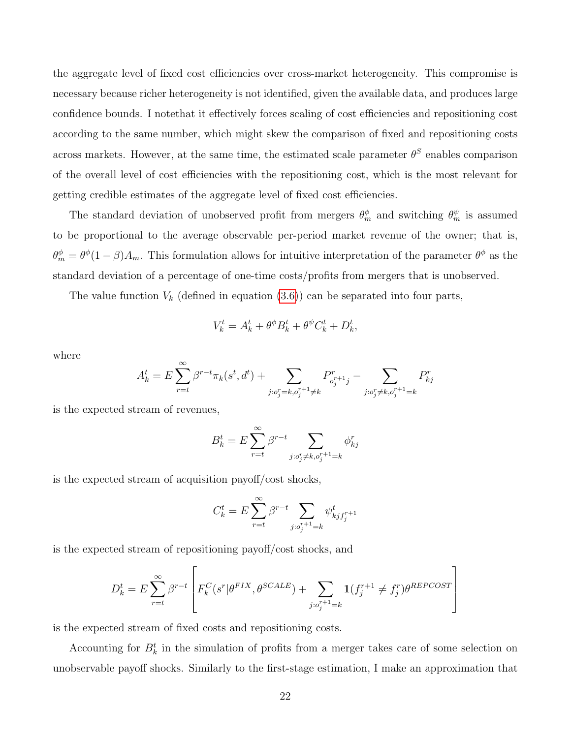the aggregate level of fixed cost efficiencies over cross-market heterogeneity. This compromise is necessary because richer heterogeneity is not identified, given the available data, and produces large confidence bounds. I notethat it effectively forces scaling of cost efficiencies and repositioning cost according to the same number, which might skew the comparison of fixed and repositioning costs across markets. However, at the same time, the estimated scale parameter  $\theta^S$  enables comparison of the overall level of cost efficiencies with the repositioning cost, which is the most relevant for getting credible estimates of the aggregate level of fixed cost efficiencies.

The standard deviation of unobserved profit from mergers  $\theta_m^{\phi}$  and switching  $\theta_m^{\psi}$  is assumed to be proportional to the average observable per-period market revenue of the owner; that is,  $\theta_m^{\phi} = \theta^{\phi}(1-\beta)A_m$ . This formulation allows for intuitive interpretation of the parameter  $\theta^{\phi}$  as the standard deviation of a percentage of one-time costs/profits from mergers that is unobserved.

The value function  $V_k$  (defined in equation  $(3.6)$ ) can be separated into four parts,

$$
V_k^t = A_k^t + \theta^\phi B_k^t + \theta^\psi C_k^t + D_k^t,
$$

where

$$
A_k^t = E \sum_{r=t}^{\infty} \beta^{r-t} \pi_k(s^t, d^t) + \sum_{j: \sigma_j^r = k, \sigma_j^{r+1} \neq k} P_{\sigma_j^{r+1}j}^r - \sum_{j: \sigma_j^r \neq k, \sigma_j^{r+1} = k} P_{kj}^r
$$

is the expected stream of revenues,

$$
B_k^t = E \sum_{r=t}^{\infty} \beta^{r-t} \sum_{j: \sigma_j^r \neq k, \sigma_j^{r+1} = k} \phi_{kj}^r
$$

is the expected stream of acquisition payoff/cost shocks,

$$
C_k^t = E \sum_{r=t}^{\infty} \beta^{r-t} \sum_{j: \sigma_j^{r+1} = k} \psi_{k j f_j^{r+1}}^t
$$

is the expected stream of repositioning payoff/cost shocks, and

$$
D_k^t = E \sum_{r=t}^{\infty} \beta^{r-t} \left[ F_k^C(s^r | \theta^{FIX}, \theta^{SCALE}) + \sum_{j: \sigma_j^{r+1} = k} \mathbf{1}(f_j^{r+1} \neq f_j^r) \theta^{REPCOST} \right]
$$

is the expected stream of fixed costs and repositioning costs.

Accounting for  $B_k^t$  in the simulation of profits from a merger takes care of some selection on unobservable payoff shocks. Similarly to the first-stage estimation, I make an approximation that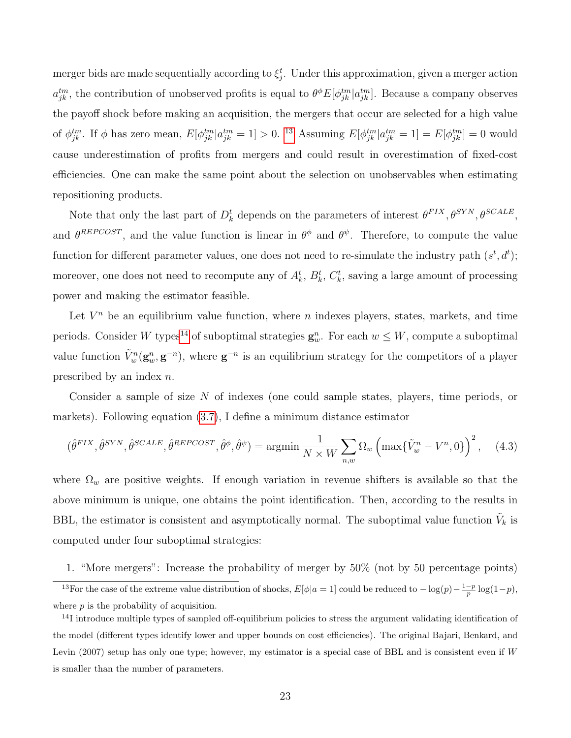merger bids are made sequentially according to  $\xi_j^t$ . Under this approximation, given a merger action  $a_{jk}^{tm}$ , the contribution of unobserved profits is equal to  $\theta^{\phi}E[\phi_{jk}^{tm}|a_{jk}^{tm}]$ . Because a company observes the payoff shock before making an acquisition, the mergers that occur are selected for a high value of  $\phi_{jk}^{tm}$ . If  $\phi$  has zero mean,  $E[\phi_{jk}^{tm}|a_{jk}^{tm}=1]>0$ . <sup>[13](#page-22-0)</sup> Assuming  $E[\phi_{jk}^{tm}|a_{jk}^{tm}=1]=E[\phi_{jk}^{tm}]=0$  would cause underestimation of profits from mergers and could result in overestimation of fixed-cost efficiencies. One can make the same point about the selection on unobservables when estimating repositioning products.

Note that only the last part of  $D_k^t$  depends on the parameters of interest  $\theta^{FIN}, \theta^{SYN}, \theta^{SCALE},$ and  $\theta^{REPCOST}$ , and the value function is linear in  $\theta^{\phi}$  and  $\theta^{\psi}$ . Therefore, to compute the value function for different parameter values, one does not need to re-simulate the industry path  $(s^t, d^t)$ ; moreover, one does not need to recompute any of  $A_k^t$ ,  $B_k^t$ ,  $C_k^t$ , saving a large amount of processing power and making the estimator feasible.

Let  $V<sup>n</sup>$  be an equilibrium value function, where n indexes players, states, markets, and time periods. Consider W types<sup>[14](#page-22-1)</sup> of suboptimal strategies  $\mathbf{g}_{w}^{n}$ . For each  $w \leq W$ , compute a suboptimal value function  $\tilde{V}_w^n(\mathbf{g}_w^n, \mathbf{g}^{-n})$ , where  $\mathbf{g}^{-n}$  is an equilibrium strategy for the competitors of a player prescribed by an index n.

Consider a sample of size N of indexes (one could sample states, players, time periods, or markets). Following equation [\(3.7\)](#page-16-1), I define a minimum distance estimator

$$
(\hat{\theta}^{FIN}, \hat{\theta}^{SYN}, \hat{\theta}^{SCALE}, \hat{\theta}^{REPCOST}, \hat{\theta}^{\phi}, \hat{\theta}^{\psi}) = \operatorname{argmin} \frac{1}{N \times W} \sum_{n,w} \Omega_w \left( \max \{ \tilde{V}_w^n - V^n, 0 \} \right)^2, \quad (4.3)
$$

where  $\Omega_w$  are positive weights. If enough variation in revenue shifters is available so that the above minimum is unique, one obtains the point identification. Then, according to the results in BBL, the estimator is consistent and asymptotically normal. The suboptimal value function  $\tilde{V}_k$  is computed under four suboptimal strategies:

<span id="page-22-0"></span>1. "More mergers": Increase the probability of merger by 50% (not by 50 percentage points)

<sup>&</sup>lt;sup>13</sup>For the case of the extreme value distribution of shocks,  $E[\phi|a=1]$  could be reduced to  $-\log(p)-\frac{1-p}{p}\log(1-p)$ , where  $p$  is the probability of acquisition.

<span id="page-22-1"></span><sup>&</sup>lt;sup>14</sup>I introduce multiple types of sampled off-equilibrium policies to stress the argument validating identification of the model (different types identify lower and upper bounds on cost efficiencies). The original Bajari, Benkard, and Levin (2007) setup has only one type; however, my estimator is a special case of BBL and is consistent even if W is smaller than the number of parameters.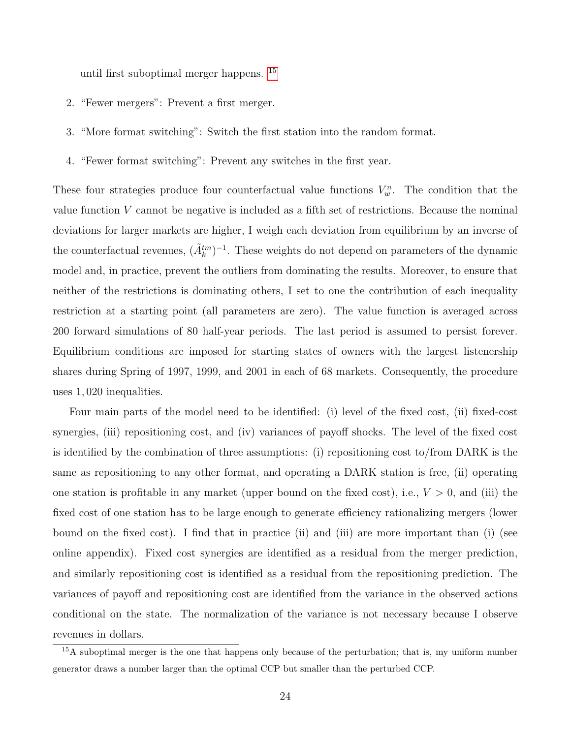until first suboptimal merger happens. [15](#page-23-0)

- 2. "Fewer mergers": Prevent a first merger.
- 3. "More format switching": Switch the first station into the random format.
- 4. "Fewer format switching": Prevent any switches in the first year.

These four strategies produce four counterfactual value functions  $V_w^n$ . The condition that the value function  $V$  cannot be negative is included as a fifth set of restrictions. Because the nominal deviations for larger markets are higher, I weigh each deviation from equilibrium by an inverse of the counterfactual revenues,  $(\tilde{A}_k^{tm})^{-1}$ . These weights do not depend on parameters of the dynamic model and, in practice, prevent the outliers from dominating the results. Moreover, to ensure that neither of the restrictions is dominating others, I set to one the contribution of each inequality restriction at a starting point (all parameters are zero). The value function is averaged across 200 forward simulations of 80 half-year periods. The last period is assumed to persist forever. Equilibrium conditions are imposed for starting states of owners with the largest listenership shares during Spring of 1997, 1999, and 2001 in each of 68 markets. Consequently, the procedure uses 1, 020 inequalities.

Four main parts of the model need to be identified: (i) level of the fixed cost, (ii) fixed-cost synergies, (iii) repositioning cost, and (iv) variances of payoff shocks. The level of the fixed cost is identified by the combination of three assumptions: (i) repositioning cost to/from DARK is the same as repositioning to any other format, and operating a DARK station is free, (ii) operating one station is profitable in any market (upper bound on the fixed cost), i.e.,  $V > 0$ , and (iii) the fixed cost of one station has to be large enough to generate efficiency rationalizing mergers (lower bound on the fixed cost). I find that in practice (ii) and (iii) are more important than (i) (see online appendix). Fixed cost synergies are identified as a residual from the merger prediction, and similarly repositioning cost is identified as a residual from the repositioning prediction. The variances of payoff and repositioning cost are identified from the variance in the observed actions conditional on the state. The normalization of the variance is not necessary because I observe revenues in dollars.

<span id="page-23-0"></span><sup>&</sup>lt;sup>15</sup>A suboptimal merger is the one that happens only because of the perturbation; that is, my uniform number generator draws a number larger than the optimal CCP but smaller than the perturbed CCP.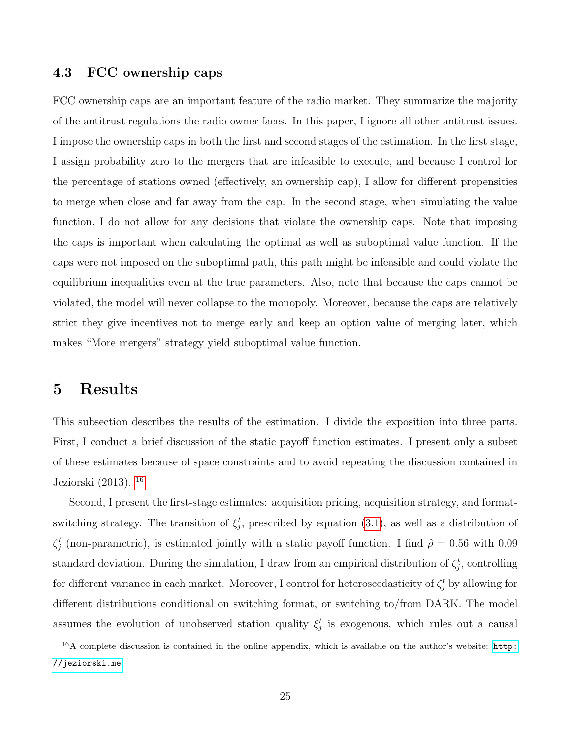#### 4.3 FCC ownership caps

FCC ownership caps are an important feature of the radio market. They summarize the majority of the antitrust regulations the radio owner faces. In this paper, I ignore all other antitrust issues. I impose the ownership caps in both the first and second stages of the estimation. In the first stage, I assign probability zero to the mergers that are infeasible to execute, and because I control for the percentage of stations owned (effectively, an ownership cap), I allow for different propensities to merge when close and far away from the cap. In the second stage, when simulating the value function, I do not allow for any decisions that violate the ownership caps. Note that imposing the caps is important when calculating the optimal as well as suboptimal value function. If the caps were not imposed on the suboptimal path, this path might be infeasible and could violate the equilibrium inequalities even at the true parameters. Also, note that because the caps cannot be violated, the model will never collapse to the monopoly. Moreover, because the caps are relatively strict they give incentives not to merge early and keep an option value of merging later, which makes "More mergers" strategy yield suboptimal value function.

## <span id="page-24-0"></span>5 Results

This subsection describes the results of the estimation. I divide the exposition into three parts. First, I conduct a brief discussion of the static payoff function estimates. I present only a subset of these estimates because of space constraints and to avoid repeating the discussion contained in Jeziorski (2013). [16](#page-24-1)

Second, I present the first-stage estimates: acquisition pricing, acquisition strategy, and formatswitching strategy. The transition of  $\xi_j^t$ , prescribed by equation [\(3.1\)](#page-8-0), as well as a distribution of  $\zeta_j^t$  (non-parametric), is estimated jointly with a static payoff function. I find  $\hat{\rho} = 0.56$  with 0.09 standard deviation. During the simulation, I draw from an empirical distribution of  $\zeta_j^t$ , controlling for different variance in each market. Moreover, I control for heteroscedasticity of  $\zeta_j^t$  by allowing for different distributions conditional on switching format, or switching to/from DARK. The model assumes the evolution of unobserved station quality  $\xi_j^t$  is exogenous, which rules out a causal

<span id="page-24-1"></span><sup>16</sup>A complete discussion is contained in the online appendix, which is available on the author's website: [http:](http://jeziorski.me) [//jeziorski.me](http://jeziorski.me)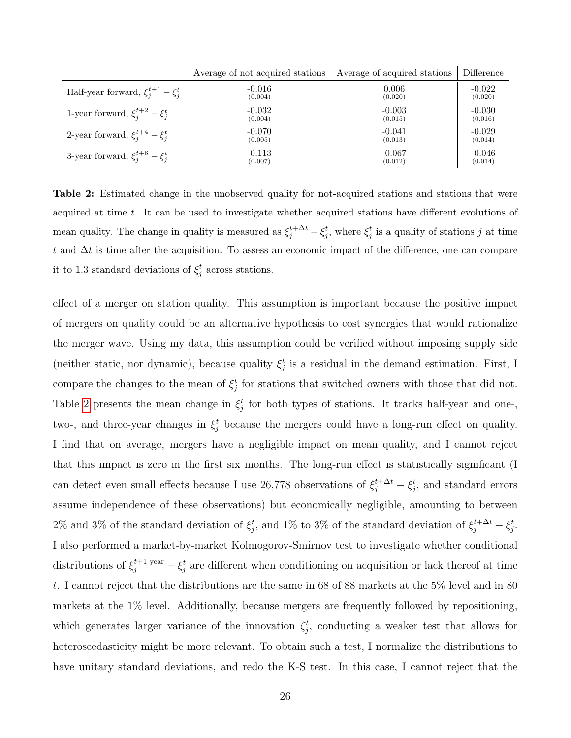<span id="page-25-0"></span>

|                                            | Average of not acquired stations | Average of acquired stations | Difference |
|--------------------------------------------|----------------------------------|------------------------------|------------|
| Half-year forward, $\xi_i^{t+1} - \xi_i^t$ | $-0.016$                         | 0.006                        | $-0.022$   |
|                                            | (0.004)                          | (0.020)                      | (0.020)    |
| 1-year forward, $\xi_i^{t+2} - \xi_i^t$    | $-0.032$                         | $-0.003$                     | $-0.030$   |
|                                            | (0.004)                          | (0.015)                      | (0.016)    |
| 2-year forward, $\xi_i^{t+4} - \xi_i^t$    | $-0.070$                         | $-0.041$                     | $-0.029$   |
|                                            | (0.005)                          | (0.013)                      | (0.014)    |
| 3-year forward, $\xi_i^{t+6} - \xi_i^t$    | $-0.113$                         | $-0.067$                     | $-0.046$   |
|                                            | (0.007)                          | (0.012)                      | (0.014)    |

 $\equiv$ 

Table 2: Estimated change in the unobserved quality for not-acquired stations and stations that were acquired at time t. It can be used to investigate whether acquired stations have different evolutions of mean quality. The change in quality is measured as  $\xi_j^{t+\Delta t} - \xi_j^t$ , where  $\xi_j^t$  is a quality of stations j at time t and  $\Delta t$  is time after the acquisition. To assess an economic impact of the difference, one can compare it to 1.3 standard deviations of  $\xi_j^t$  across stations.

effect of a merger on station quality. This assumption is important because the positive impact of mergers on quality could be an alternative hypothesis to cost synergies that would rationalize the merger wave. Using my data, this assumption could be verified without imposing supply side (neither static, nor dynamic), because quality  $\xi_j^t$  is a residual in the demand estimation. First, I compare the changes to the mean of  $\xi_j^t$  for stations that switched owners with those that did not. Table [2](#page-25-0) presents the mean change in  $\xi_j^t$  for both types of stations. It tracks half-year and one-, two-, and three-year changes in  $\xi_j^t$  because the mergers could have a long-run effect on quality. I find that on average, mergers have a negligible impact on mean quality, and I cannot reject that this impact is zero in the first six months. The long-run effect is statistically significant (I can detect even small effects because I use 26,778 observations of  $\xi_j^{t+\Delta t} - \xi_j^t$ , and standard errors assume independence of these observations) but economically negligible, amounting to between 2% and 3% of the standard deviation of  $\xi_j^t$ , and 1% to 3% of the standard deviation of  $\xi_j^{t+\Delta t} - \xi_j^t$ . I also performed a market-by-market Kolmogorov-Smirnov test to investigate whether conditional distributions of  $\xi_j^{t+1}$  year  $-\xi_j^t$  are different when conditioning on acquisition or lack thereof at time t. I cannot reject that the distributions are the same in 68 of 88 markets at the 5% level and in 80 markets at the 1% level. Additionally, because mergers are frequently followed by repositioning, which generates larger variance of the innovation  $\zeta_j^t$ , conducting a weaker test that allows for heteroscedasticity might be more relevant. To obtain such a test, I normalize the distributions to have unitary standard deviations, and redo the K-S test. In this case, I cannot reject that the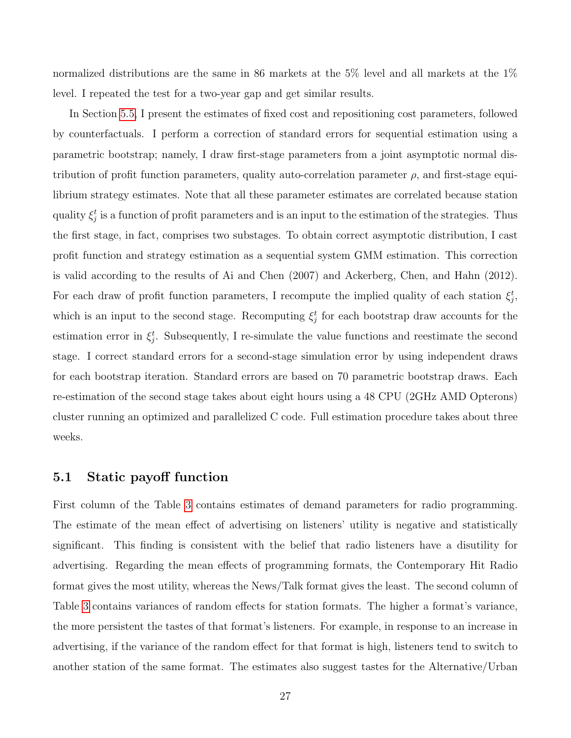normalized distributions are the same in 86 markets at the 5% level and all markets at the 1% level. I repeated the test for a two-year gap and get similar results.

In Section [5.5,](#page-37-0) I present the estimates of fixed cost and repositioning cost parameters, followed by counterfactuals. I perform a correction of standard errors for sequential estimation using a parametric bootstrap; namely, I draw first-stage parameters from a joint asymptotic normal distribution of profit function parameters, quality auto-correlation parameter  $\rho$ , and first-stage equilibrium strategy estimates. Note that all these parameter estimates are correlated because station quality  $\xi_j^t$  is a function of profit parameters and is an input to the estimation of the strategies. Thus the first stage, in fact, comprises two substages. To obtain correct asymptotic distribution, I cast profit function and strategy estimation as a sequential system GMM estimation. This correction is valid according to the results of Ai and Chen (2007) and Ackerberg, Chen, and Hahn (2012). For each draw of profit function parameters, I recompute the implied quality of each station  $\xi_j^t$ , which is an input to the second stage. Recomputing  $\xi_j^t$  for each bootstrap draw accounts for the estimation error in  $\xi_j^t$ . Subsequently, I re-simulate the value functions and reestimate the second stage. I correct standard errors for a second-stage simulation error by using independent draws for each bootstrap iteration. Standard errors are based on 70 parametric bootstrap draws. Each re-estimation of the second stage takes about eight hours using a 48 CPU (2GHz AMD Opterons) cluster running an optimized and parallelized C code. Full estimation procedure takes about three weeks.

#### 5.1 Static payoff function

First column of the Table [3](#page-27-0) contains estimates of demand parameters for radio programming. The estimate of the mean effect of advertising on listeners' utility is negative and statistically significant. This finding is consistent with the belief that radio listeners have a disutility for advertising. Regarding the mean effects of programming formats, the Contemporary Hit Radio format gives the most utility, whereas the News/Talk format gives the least. The second column of Table [3](#page-27-0) contains variances of random effects for station formats. The higher a format's variance, the more persistent the tastes of that format's listeners. For example, in response to an increase in advertising, if the variance of the random effect for that format is high, listeners tend to switch to another station of the same format. The estimates also suggest tastes for the Alternative/Urban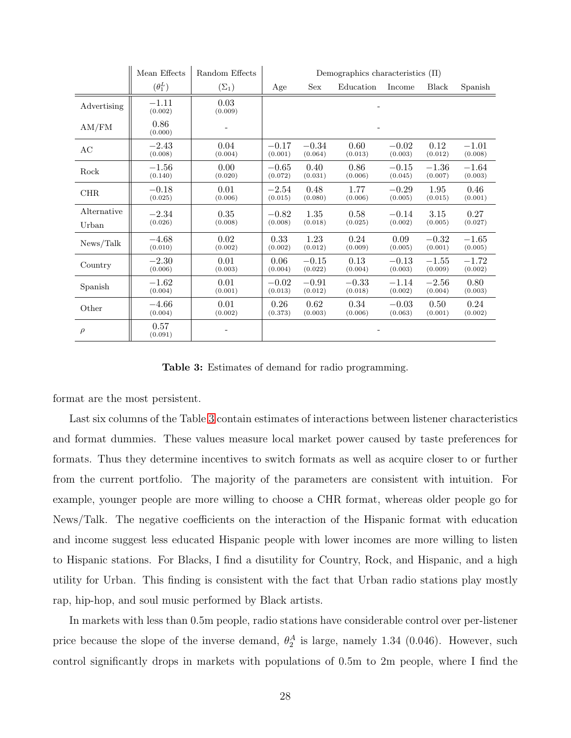<span id="page-27-0"></span>

|             | Mean Effects       | Random Effects  | Demographics characteristics $(\Pi)$ |         |           |         |              |         |
|-------------|--------------------|-----------------|--------------------------------------|---------|-----------|---------|--------------|---------|
|             | $(\theta_1^L)$     | $(\Sigma_1)$    | Age                                  | Sex     | Education | Income  | <b>Black</b> | Spanish |
| Advertising | $-1.11$<br>(0.002) | 0.03<br>(0.009) |                                      |         |           |         |              |         |
| AM/FM       | 0.86<br>(0.000)    |                 |                                      |         |           |         |              |         |
| AC          | $-2.43$            | 0.04            | $-0.17$                              | $-0.34$ | 0.60      | $-0.02$ | 0.12         | $-1.01$ |
|             | (0.008)            | (0.004)         | (0.001)                              | (0.064) | (0.013)   | (0.003) | (0.012)      | (0.008) |
| Rock        | $-1.56$            | 0.00            | $-0.65$                              | 0.40    | 0.86      | $-0.15$ | $-1.36$      | $-1.64$ |
|             | (0.140)            | (0.020)         | (0.072)                              | (0.031) | (0.006)   | (0.045) | (0.007)      | (0.003) |
| CHR         | $-0.18$            | 0.01            | $-2.54$                              | 0.48    | 1.77      | $-0.29$ | 1.95         | 0.46    |
|             | (0.025)            | (0.006)         | (0.015)                              | (0.080) | (0.006)   | (0.005) | (0.015)      | (0.001) |
| Alternative | $-2.34$            | 0.35            | $-0.82$                              | 1.35    | 0.58      | $-0.14$ | 3.15         | 0.27    |
| Urban       | (0.026)            | (0.008)         | (0.008)                              | (0.018) | (0.025)   | (0.002) | (0.005)      | (0.027) |
| News/Talk   | $-4.68$            | 0.02            | 0.33                                 | 1.23    | 0.24      | 0.09    | $-0.32$      | $-1.65$ |
|             | (0.010)            | (0.002)         | (0.002)                              | (0.012) | (0.009)   | (0.005) | (0.001)      | (0.005) |
| Country     | $-2.30$            | 0.01            | 0.06                                 | $-0.15$ | 0.13      | $-0.13$ | $-1.55$      | $-1.72$ |
|             | (0.006)            | (0.003)         | (0.004)                              | (0.022) | (0.004)   | (0.003) | (0.009)      | (0.002) |
| Spanish     | $-1.62$            | 0.01            | $-0.02$                              | $-0.91$ | $-0.33$   | $-1.14$ | $-2.56$      | 0.80    |
|             | (0.004)            | (0.001)         | (0.013)                              | (0.012) | (0.018)   | (0.002) | (0.004)      | (0.003) |
| Other       | $-4.66$            | 0.01            | 0.26                                 | 0.62    | 0.34      | $-0.03$ | 0.50         | 0.24    |
|             | (0.004)            | (0.002)         | (0.373)                              | (0.003) | (0.006)   | (0.063) | (0.001)      | (0.002) |
| $\rho$      | 0.57<br>(0.091)    |                 |                                      |         |           |         |              |         |

Table 3: Estimates of demand for radio programming.

format are the most persistent.

Last six columns of the Table [3](#page-27-0) contain estimates of interactions between listener characteristics and format dummies. These values measure local market power caused by taste preferences for formats. Thus they determine incentives to switch formats as well as acquire closer to or further from the current portfolio. The majority of the parameters are consistent with intuition. For example, younger people are more willing to choose a CHR format, whereas older people go for News/Talk. The negative coefficients on the interaction of the Hispanic format with education and income suggest less educated Hispanic people with lower incomes are more willing to listen to Hispanic stations. For Blacks, I find a disutility for Country, Rock, and Hispanic, and a high utility for Urban. This finding is consistent with the fact that Urban radio stations play mostly rap, hip-hop, and soul music performed by Black artists.

In markets with less than 0.5m people, radio stations have considerable control over per-listener price because the slope of the inverse demand,  $\theta_2^A$  is large, namely 1.34 (0.046). However, such control significantly drops in markets with populations of 0.5m to 2m people, where I find the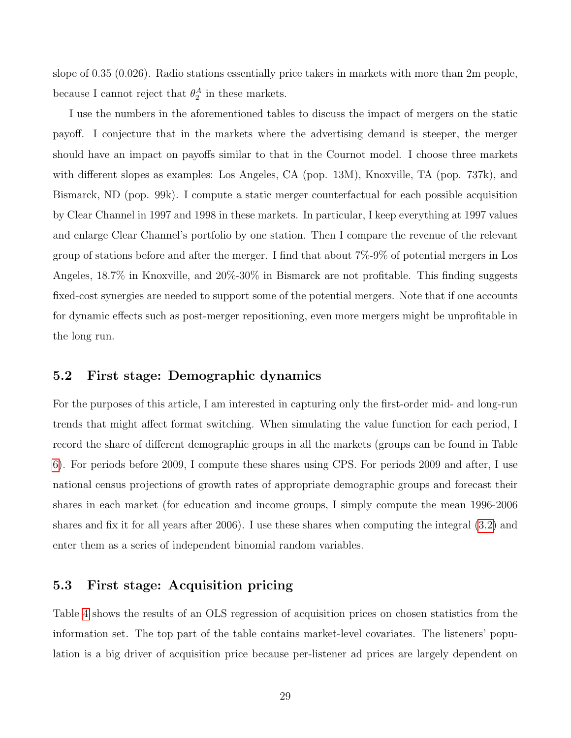slope of 0.35 (0.026). Radio stations essentially price takers in markets with more than 2m people, because I cannot reject that  $\theta_2^A$  in these markets.

I use the numbers in the aforementioned tables to discuss the impact of mergers on the static payoff. I conjecture that in the markets where the advertising demand is steeper, the merger should have an impact on payoffs similar to that in the Cournot model. I choose three markets with different slopes as examples: Los Angeles, CA (pop. 13M), Knoxville, TA (pop. 737k), and Bismarck, ND (pop. 99k). I compute a static merger counterfactual for each possible acquisition by Clear Channel in 1997 and 1998 in these markets. In particular, I keep everything at 1997 values and enlarge Clear Channel's portfolio by one station. Then I compare the revenue of the relevant group of stations before and after the merger. I find that about 7%-9% of potential mergers in Los Angeles, 18.7% in Knoxville, and 20%-30% in Bismarck are not profitable. This finding suggests fixed-cost synergies are needed to support some of the potential mergers. Note that if one accounts for dynamic effects such as post-merger repositioning, even more mergers might be unprofitable in the long run.

#### 5.2 First stage: Demographic dynamics

For the purposes of this article, I am interested in capturing only the first-order mid- and long-run trends that might affect format switching. When simulating the value function for each period, I record the share of different demographic groups in all the markets (groups can be found in Table [6\)](#page-34-0). For periods before 2009, I compute these shares using CPS. For periods 2009 and after, I use national census projections of growth rates of appropriate demographic groups and forecast their shares in each market (for education and income groups, I simply compute the mean 1996-2006 shares and fix it for all years after 2006). I use these shares when computing the integral [\(3.2\)](#page-10-0) and enter them as a series of independent binomial random variables.

#### 5.3 First stage: Acquisition pricing

Table [4](#page-29-0) shows the results of an OLS regression of acquisition prices on chosen statistics from the information set. The top part of the table contains market-level covariates. The listeners' population is a big driver of acquisition price because per-listener ad prices are largely dependent on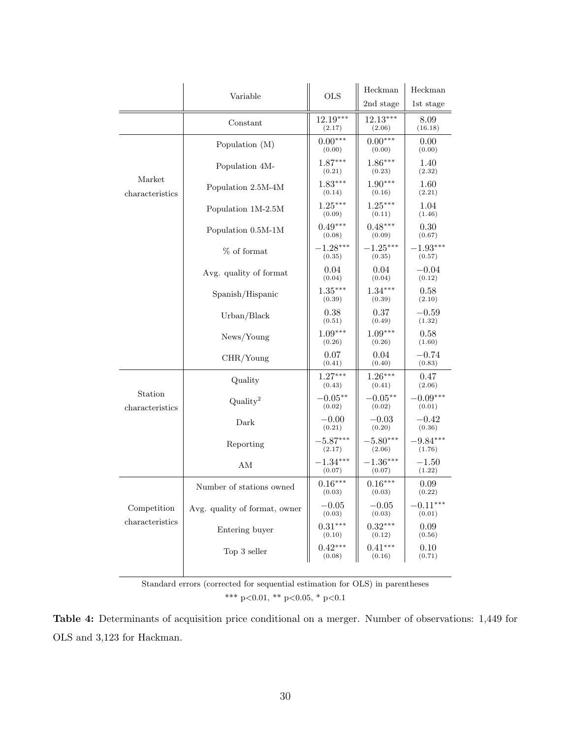<span id="page-29-0"></span>

|                            | Variable                      | <b>OLS</b>           | Heckman              | Heckman              |
|----------------------------|-------------------------------|----------------------|----------------------|----------------------|
|                            |                               |                      | 2nd stage            | 1st stage            |
|                            | Constant                      | $12.19***$<br>(2.17) | $12.13***$<br>(2.06) | 8.09<br>(16.18)      |
|                            | Population (M)                | $0.00***$<br>(0.00)  | $0.00***$<br>(0.00)  | 0.00<br>(0.00)       |
|                            | Population 4M-                | $1.87***$<br>(0.21)  | $1.86***$<br>(0.23)  | 1.40<br>(2.32)       |
| Market<br>characteristics  | Population 2.5M-4M            | $1.83***$<br>(0.14)  | $1.90***$<br>(0.16)  | 1.60<br>(2.21)       |
|                            | Population 1M-2.5M            | $1.25***$<br>(0.09)  | $1.25***$<br>(0.11)  | 1.04<br>(1.46)       |
|                            | Population 0.5M-1M            | $0.49***$<br>(0.08)  | $0.48***$<br>(0.09)  | 0.30<br>(0.67)       |
|                            | $\%$ of format                | $-1.28***$<br>(0.35) | $-1.25***$<br>(0.35) | $-1.93***$<br>(0.57) |
|                            | Avg. quality of format        | 0.04<br>(0.04)       | 0.04<br>(0.04)       | $-0.04$<br>(0.12)    |
|                            | Spanish/Hispanic              | $1.35***$<br>(0.39)  | $1.34***$<br>(0.39)  | 0.58<br>(2.10)       |
|                            | Urban/Black                   | 0.38<br>(0.51)       | 0.37<br>(0.49)       | $-0.59$<br>(1.32)    |
|                            | News/Young                    | $1.09***$<br>(0.26)  | $1.09***$<br>(0.26)  | 0.58<br>(1.60)       |
|                            | CHR/Young                     | 0.07<br>(0.41)       | 0.04<br>(0.40)       | $-0.74$<br>(0.83)    |
|                            | Quality                       | $1.27***$<br>(0.43)  | $1.26***$<br>(0.41)  | 0.47<br>(2.06)       |
| Station<br>characteristics | $\mathrm{Quality}^2$          | $-0.05**$<br>(0.02)  | $-0.05**$<br>(0.02)  | $-0.09***$<br>(0.01) |
|                            | Dark                          | $-0.00$<br>(0.21)    | $-0.03$<br>(0.20)    | $-0.42$<br>(0.36)    |
|                            | Reporting                     | $-5.87***$<br>(2.17) | $-5.80***$<br>(2.06) | $-9.84***$<br>(1.76) |
|                            | AM                            | $-1.34***$<br>(0.07) | $-1.36***$<br>(0.07) | $-1.50$<br>(1.22)    |
|                            | Number of stations owned      | $0.16***$<br>(0.03)  | $0.16***$<br>(0.03)  | 0.09<br>(0.22)       |
| Competition                | Avg. quality of format, owner | $-0.05\,$<br>(0.03)  | $-0.05\,$<br>(0.03)  | $0.11***$<br>(0.01)  |
| characteristics            | Entering buyer                | $0.31***$<br>(0.10)  | $0.32***$<br>(0.12)  | 0.09<br>(0.56)       |
|                            | Top 3 seller                  | $0.42***$<br>(0.08)  | $0.41***$<br>(0.16)  | 0.10<br>(0.71)       |

Standard errors (corrected for sequential estimation for OLS) in parentheses

\*\*\* p<0.01, \*\* p<0.05, \* p<0.1

Table 4: Determinants of acquisition price conditional on a merger. Number of observations: 1,449 for OLS and 3,123 for Hackman.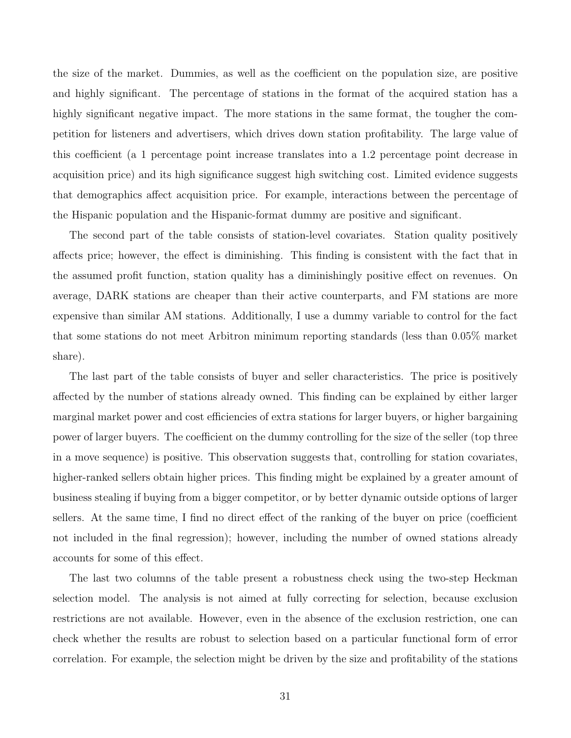the size of the market. Dummies, as well as the coefficient on the population size, are positive and highly significant. The percentage of stations in the format of the acquired station has a highly significant negative impact. The more stations in the same format, the tougher the competition for listeners and advertisers, which drives down station profitability. The large value of this coefficient (a 1 percentage point increase translates into a 1.2 percentage point decrease in acquisition price) and its high significance suggest high switching cost. Limited evidence suggests that demographics affect acquisition price. For example, interactions between the percentage of the Hispanic population and the Hispanic-format dummy are positive and significant.

The second part of the table consists of station-level covariates. Station quality positively affects price; however, the effect is diminishing. This finding is consistent with the fact that in the assumed profit function, station quality has a diminishingly positive effect on revenues. On average, DARK stations are cheaper than their active counterparts, and FM stations are more expensive than similar AM stations. Additionally, I use a dummy variable to control for the fact that some stations do not meet Arbitron minimum reporting standards (less than 0.05% market share).

The last part of the table consists of buyer and seller characteristics. The price is positively affected by the number of stations already owned. This finding can be explained by either larger marginal market power and cost efficiencies of extra stations for larger buyers, or higher bargaining power of larger buyers. The coefficient on the dummy controlling for the size of the seller (top three in a move sequence) is positive. This observation suggests that, controlling for station covariates, higher-ranked sellers obtain higher prices. This finding might be explained by a greater amount of business stealing if buying from a bigger competitor, or by better dynamic outside options of larger sellers. At the same time, I find no direct effect of the ranking of the buyer on price (coefficient not included in the final regression); however, including the number of owned stations already accounts for some of this effect.

The last two columns of the table present a robustness check using the two-step Heckman selection model. The analysis is not aimed at fully correcting for selection, because exclusion restrictions are not available. However, even in the absence of the exclusion restriction, one can check whether the results are robust to selection based on a particular functional form of error correlation. For example, the selection might be driven by the size and profitability of the stations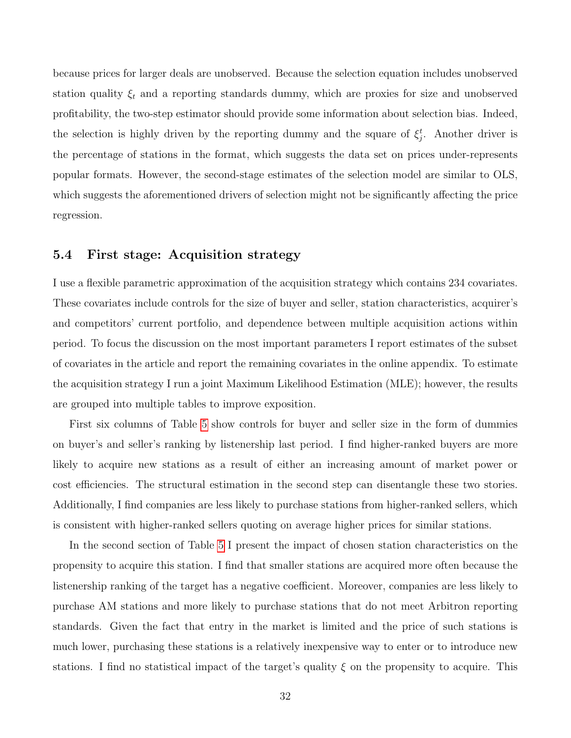because prices for larger deals are unobserved. Because the selection equation includes unobserved station quality  $\xi_t$  and a reporting standards dummy, which are proxies for size and unobserved profitability, the two-step estimator should provide some information about selection bias. Indeed, the selection is highly driven by the reporting dummy and the square of  $\xi_j^t$ . Another driver is the percentage of stations in the format, which suggests the data set on prices under-represents popular formats. However, the second-stage estimates of the selection model are similar to OLS, which suggests the aforementioned drivers of selection might not be significantly affecting the price regression.

#### 5.4 First stage: Acquisition strategy

I use a flexible parametric approximation of the acquisition strategy which contains 234 covariates. These covariates include controls for the size of buyer and seller, station characteristics, acquirer's and competitors' current portfolio, and dependence between multiple acquisition actions within period. To focus the discussion on the most important parameters I report estimates of the subset of covariates in the article and report the remaining covariates in the online appendix. To estimate the acquisition strategy I run a joint Maximum Likelihood Estimation (MLE); however, the results are grouped into multiple tables to improve exposition.

First six columns of Table [5](#page-32-0) show controls for buyer and seller size in the form of dummies on buyer's and seller's ranking by listenership last period. I find higher-ranked buyers are more likely to acquire new stations as a result of either an increasing amount of market power or cost efficiencies. The structural estimation in the second step can disentangle these two stories. Additionally, I find companies are less likely to purchase stations from higher-ranked sellers, which is consistent with higher-ranked sellers quoting on average higher prices for similar stations.

In the second section of Table [5](#page-32-0) I present the impact of chosen station characteristics on the propensity to acquire this station. I find that smaller stations are acquired more often because the listenership ranking of the target has a negative coefficient. Moreover, companies are less likely to purchase AM stations and more likely to purchase stations that do not meet Arbitron reporting standards. Given the fact that entry in the market is limited and the price of such stations is much lower, purchasing these stations is a relatively inexpensive way to enter or to introduce new stations. I find no statistical impact of the target's quality  $\xi$  on the propensity to acquire. This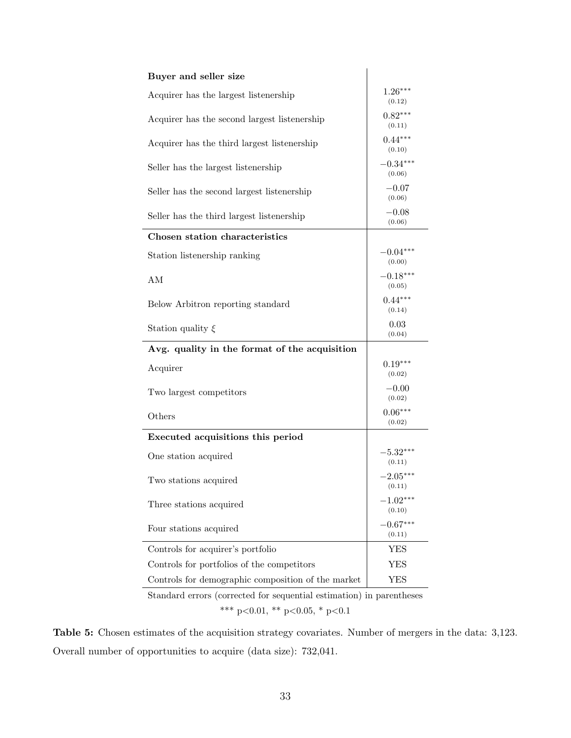<span id="page-32-0"></span>

| Buyer and seller size                              |                                         |
|----------------------------------------------------|-----------------------------------------|
| Acquirer has the largest listenership              | $1.26***$<br>(0.12)                     |
| Acquirer has the second largest listenership       | $0.82***$<br>(0.11)                     |
| Acquirer has the third largest listenership        | $0.44***$<br>(0.10)                     |
| Seller has the largest listenership                | $-0.34***$<br>(0.06)                    |
| Seller has the second largest listenership         | $-0.07$<br>(0.06)                       |
| Seller has the third largest listenership          | $-0.08$<br>(0.06)                       |
| Chosen station characteristics                     |                                         |
| Station listenership ranking                       | $-0.04***$<br>(0.00)                    |
| AM                                                 | $-0.18***$<br>(0.05)                    |
| Below Arbitron reporting standard                  | $0.44***$<br>(0.14)                     |
| Station quality $\xi$                              | 0.03<br>(0.04)                          |
| Avg. quality in the format of the acquisition      |                                         |
| Acquirer                                           | $0.19***$<br>(0.02)                     |
| Two largest competitors                            | $-0.00$<br>(0.02)                       |
| Others                                             | $0.06***$<br>(0.02)                     |
| Executed acquisitions this period                  |                                         |
| One station acquired                               | $\text{-}5.32^{\ast\ast\ast}$<br>(0.11) |
| Two stations acquired                              | $-2.05***$<br>(0.11)                    |
| Three stations acquired                            | $1.02***$<br>(0.10)                     |
| Four stations acquired                             | $-0.67***$<br>(0.11)                    |
| Controls for acquirer's portfolio                  | YES                                     |
| Controls for portfolios of the competitors         | YES                                     |
| Controls for demographic composition of the market | YES                                     |

Standard errors (corrected for sequential estimation) in parentheses

\*\*\* p<0.01, \*\* p<0.05, \* p<0.1

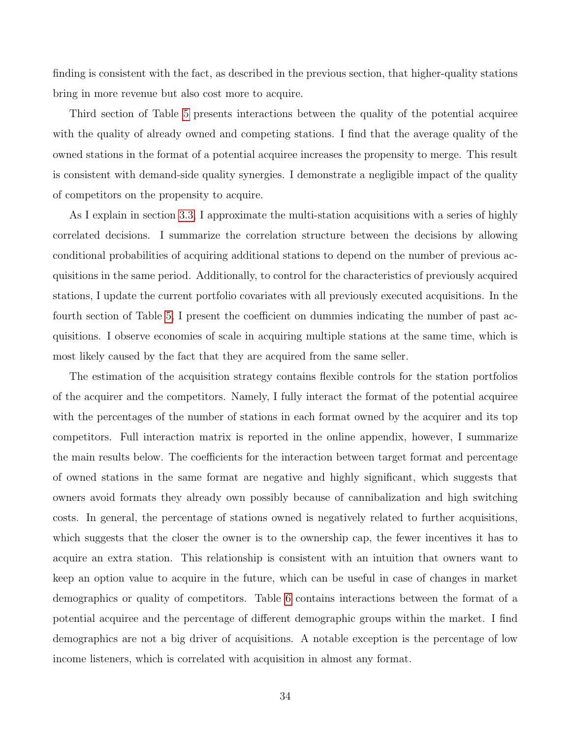finding is consistent with the fact, as described in the previous section, that higher-quality stations bring in more revenue but also cost more to acquire.

Third section of Table [5](#page-32-0) presents interactions between the quality of the potential acquiree with the quality of already owned and competing stations. I find that the average quality of the owned stations in the format of a potential acquiree increases the propensity to merge. This result is consistent with demand-side quality synergies. I demonstrate a negligible impact of the quality of competitors on the propensity to acquire.

As I explain in section [3.3,](#page-11-2) I approximate the multi-station acquisitions with a series of highly correlated decisions. I summarize the correlation structure between the decisions by allowing conditional probabilities of acquiring additional stations to depend on the number of previous acquisitions in the same period. Additionally, to control for the characteristics of previously acquired stations, I update the current portfolio covariates with all previously executed acquisitions. In the fourth section of Table [5,](#page-32-0) I present the coefficient on dummies indicating the number of past acquisitions. I observe economies of scale in acquiring multiple stations at the same time, which is most likely caused by the fact that they are acquired from the same seller.

The estimation of the acquisition strategy contains flexible controls for the station portfolios of the acquirer and the competitors. Namely, I fully interact the format of the potential acquiree with the percentages of the number of stations in each format owned by the acquirer and its top competitors. Full interaction matrix is reported in the online appendix, however, I summarize the main results below. The coefficients for the interaction between target format and percentage of owned stations in the same format are negative and highly significant, which suggests that owners avoid formats they already own possibly because of cannibalization and high switching costs. In general, the percentage of stations owned is negatively related to further acquisitions, which suggests that the closer the owner is to the ownership cap, the fewer incentives it has to acquire an extra station. This relationship is consistent with an intuition that owners want to keep an option value to acquire in the future, which can be useful in case of changes in market demographics or quality of competitors. Table [6](#page-34-0) contains interactions between the format of a potential acquiree and the percentage of different demographic groups within the market. I find demographics are not a big driver of acquisitions. A notable exception is the percentage of low income listeners, which is correlated with acquisition in almost any format.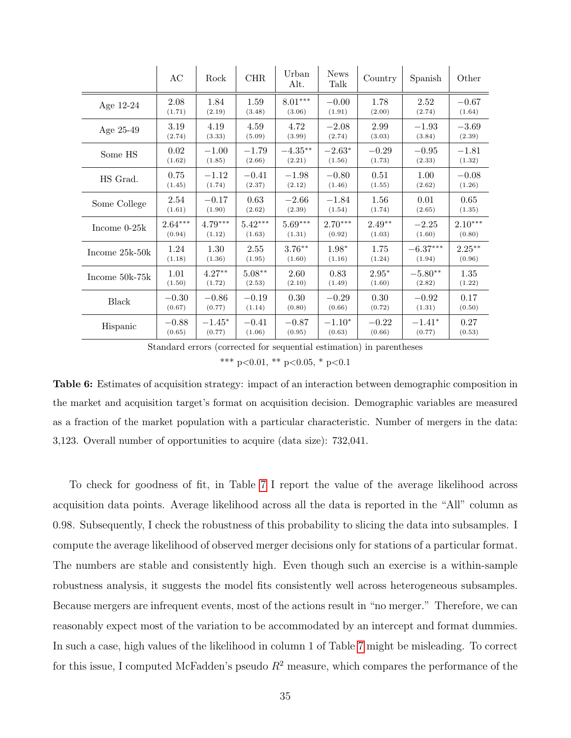<span id="page-34-0"></span>

|                  | AC        | Rock      | CHR       | Urban<br>Alt. | <b>News</b><br>Talk | Country  | Spanish    | Other     |
|------------------|-----------|-----------|-----------|---------------|---------------------|----------|------------|-----------|
| Age 12-24        | 2.08      | 1.84      | 1.59      | $8.01***$     | $-0.00$             | 1.78     | 2.52       | $-0.67$   |
|                  | (1.71)    | (2.19)    | (3.48)    | (3.06)        | (1.91)              | (2.00)   | (2.74)     | (1.64)    |
| Age 25-49        | 3.19      | 4.19      | 4.59      | 4.72          | $-2.08$             | 2.99     | $-1.93$    | $-3.69$   |
|                  | (2.74)    | (3.33)    | (5.09)    | (3.99)        | (2.74)              | (3.03)   | (3.84)     | (2.39)    |
| Some HS          | 0.02      | $-1.00$   | $-1.79$   | $-4.35***$    | $-2.63*$            | $-0.29$  | $-0.95$    | $-1.81$   |
|                  | (1.62)    | (1.85)    | (2.66)    | (2.21)        | (1.56)              | (1.73)   | (2.33)     | (1.32)    |
| HS Grad.         | 0.75      | $-1.12$   | $-0.41$   | $-1.98$       | $-0.80$             | 0.51     | 1.00       | $-0.08$   |
|                  | (1.45)    | (1.74)    | (2.37)    | (2.12)        | (1.46)              | (1.55)   | (2.62)     | (1.26)    |
| Some College     | 2.54      | $-0.17$   | 0.63      | $-2.66$       | $-1.84$             | 1.56     | 0.01       | 0.65      |
|                  | (1.61)    | (1.90)    | (2.62)    | (2.39)        | (1.54)              | (1.74)   | (2.65)     | (1.35)    |
| Income $0-25k$   | $2.64***$ | $4.79***$ | $5.42***$ | $5.69***$     | $2.70***$           | $2.49**$ | $-2.25$    | $2.10***$ |
|                  | (0.94)    | (1.12)    | (1.63)    | (1.31)        | (0.92)              | (1.03)   | (1.60)     | (0.80)    |
| Income $25k-50k$ | 1.24      | 1.30      | 2.55      | $3.76**$      | $1.98*$             | 1.75     | $-6.37***$ | $2.25***$ |
|                  | (1.18)    | (1.36)    | (1.95)    | (1.60)        | (1.16)              | (1.24)   | (1.94)     | (0.96)    |
| Income 50k-75k   | 1.01      | $4.27**$  | $5.08**$  | 2.60          | 0.83                | $2.95*$  | $-5.80**$  | 1.35      |
|                  | (1.50)    | (1.72)    | (2.53)    | (2.10)        | (1.49)              | (1.60)   | (2.82)     | (1.22)    |
| Black            | $-0.30$   | $-0.86$   | $-0.19$   | 0.30          | $-0.29$             | 0.30     | $-0.92$    | 0.17      |
|                  | (0.67)    | (0.77)    | (1.14)    | (0.80)        | (0.66)              | (0.72)   | (1.31)     | (0.50)    |
| Hispanic         | $-0.88$   | $-1.45*$  | $-0.41$   | $-0.87$       | $-1.10*$            | $-0.22$  | $-1.41*$   | 0.27      |
|                  | (0.65)    | (0.77)    | (1.06)    | (0.95)        | (0.63)              | (0.66)   | (0.77)     | (0.53)    |

Standard errors (corrected for sequential estimation) in parentheses

\*\*\* p<0.01, \*\* p<0.05, \* p<0.1

Table 6: Estimates of acquisition strategy: impact of an interaction between demographic composition in the market and acquisition target's format on acquisition decision. Demographic variables are measured as a fraction of the market population with a particular characteristic. Number of mergers in the data: 3,123. Overall number of opportunities to acquire (data size): 732,041.

To check for goodness of fit, in Table [7](#page-35-0) I report the value of the average likelihood across acquisition data points. Average likelihood across all the data is reported in the "All" column as 0.98. Subsequently, I check the robustness of this probability to slicing the data into subsamples. I compute the average likelihood of observed merger decisions only for stations of a particular format. The numbers are stable and consistently high. Even though such an exercise is a within-sample robustness analysis, it suggests the model fits consistently well across heterogeneous subsamples. Because mergers are infrequent events, most of the actions result in "no merger." Therefore, we can reasonably expect most of the variation to be accommodated by an intercept and format dummies. In such a case, high values of the likelihood in column 1 of Table [7](#page-35-0) might be misleading. To correct for this issue, I computed McFadden's pseudo  $R^2$  measure, which compares the performance of the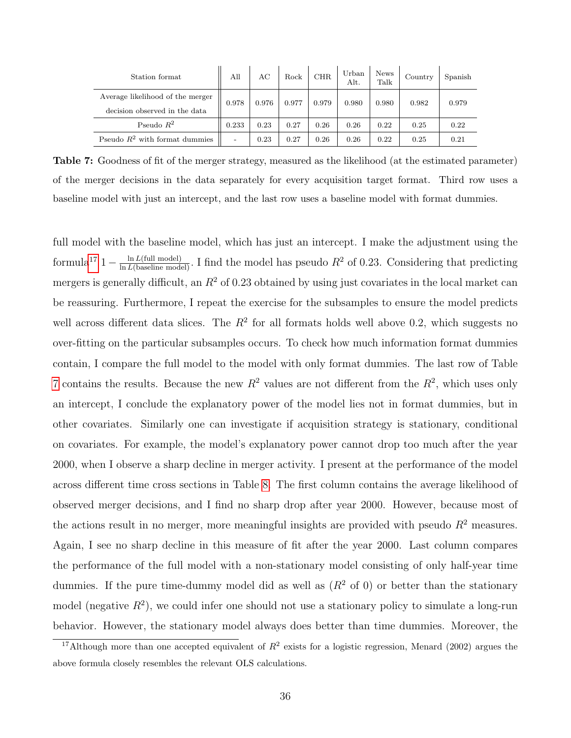<span id="page-35-0"></span>

| Station format                                                    | All                      | АC    | Rock  | <b>CHR</b> | Urban<br>Alt. | <b>News</b><br>Talk | Country | Spanish |
|-------------------------------------------------------------------|--------------------------|-------|-------|------------|---------------|---------------------|---------|---------|
| Average likelihood of the merger<br>decision observed in the data | 0.978                    | 0.976 | 0.977 | 0.979      | 0.980         | 0.980               | 0.982   | 0.979   |
| Pseudo $R^2$                                                      | 0.233                    | 0.23  | 0.27  | 0.26       | 0.26          | 0.22                | 0.25    | 0.22    |
| Pseudo $R^2$ with format dummies                                  | $\overline{\phantom{a}}$ | 0.23  | 0.27  | 0.26       | 0.26          | 0.22                | 0.25    | 0.21    |

Table 7: Goodness of fit of the merger strategy, measured as the likelihood (at the estimated parameter) of the merger decisions in the data separately for every acquisition target format. Third row uses a baseline model with just an intercept, and the last row uses a baseline model with format dummies.

full model with the baseline model, which has just an intercept. I make the adjustment using the formula<sup>[17](#page-35-1)</sup>  $1 - \frac{\ln L(\text{full model})}{\ln L(\text{baseline model})}$ . I find the model has pseudo  $R^2$  of 0.23. Considering that predicting mergers is generally difficult, an  $R<sup>2</sup>$  of 0.23 obtained by using just covariates in the local market can be reassuring. Furthermore, I repeat the exercise for the subsamples to ensure the model predicts well across different data slices. The  $R^2$  for all formats holds well above 0.2, which suggests no over-fitting on the particular subsamples occurs. To check how much information format dummies contain, I compare the full model to the model with only format dummies. The last row of Table [7](#page-35-0) contains the results. Because the new  $R^2$  values are not different from the  $R^2$ , which uses only an intercept, I conclude the explanatory power of the model lies not in format dummies, but in other covariates. Similarly one can investigate if acquisition strategy is stationary, conditional on covariates. For example, the model's explanatory power cannot drop too much after the year 2000, when I observe a sharp decline in merger activity. I present at the performance of the model across different time cross sections in Table [8.](#page-36-0) The first column contains the average likelihood of observed merger decisions, and I find no sharp drop after year 2000. However, because most of the actions result in no merger, more meaningful insights are provided with pseudo  $R<sup>2</sup>$  measures. Again, I see no sharp decline in this measure of fit after the year 2000. Last column compares the performance of the full model with a non-stationary model consisting of only half-year time dummies. If the pure time-dummy model did as well as  $(R^2 \text{ of } 0)$  or better than the stationary model (negative  $R^2$ ), we could infer one should not use a stationary policy to simulate a long-run behavior. However, the stationary model always does better than time dummies. Moreover, the

<span id="page-35-1"></span><sup>&</sup>lt;sup>17</sup>Although more than one accepted equivalent of  $R^2$  exists for a logistic regression, Menard (2002) argues the above formula closely resembles the relevant OLS calculations.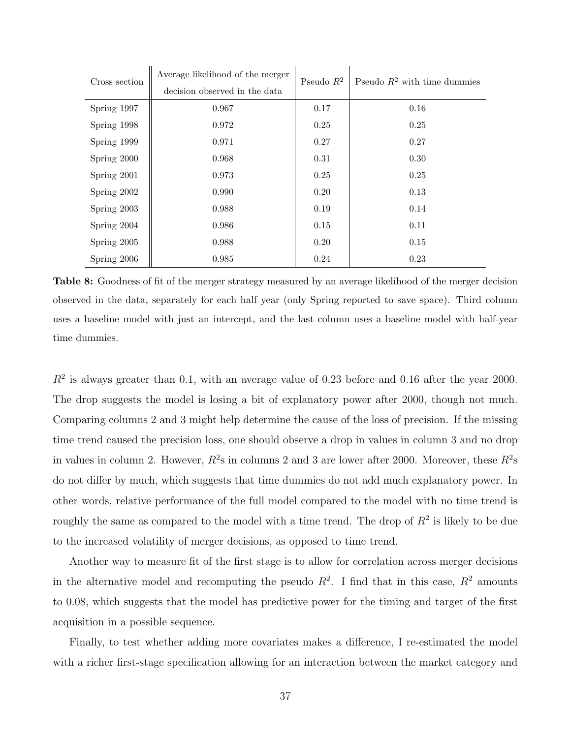<span id="page-36-0"></span>

| Cross section | Average likelihood of the merger<br>decision observed in the data | Pseudo $R^2$ | Pseudo $R^2$ with time dummies |  |  |
|---------------|-------------------------------------------------------------------|--------------|--------------------------------|--|--|
|               |                                                                   |              |                                |  |  |
| Spring 1997   | 0.967                                                             | 0.17         | 0.16                           |  |  |
| Spring 1998   | 0.972                                                             | 0.25         | 0.25                           |  |  |
| Spring 1999   | 0.971                                                             | 0.27         | 0.27                           |  |  |
| Spring 2000   | 0.968                                                             | 0.31         | 0.30                           |  |  |
| Spring 2001   | 0.973                                                             | 0.25         | 0.25                           |  |  |
| Spring 2002   | 0.990                                                             | 0.20         | 0.13                           |  |  |
| Spring 2003   | 0.988                                                             | 0.19         | 0.14                           |  |  |
| Spring 2004   | 0.986                                                             | 0.15         | 0.11                           |  |  |
| Spring 2005   | 0.988                                                             | 0.20         | 0.15                           |  |  |
| Spring 2006   | 0.985                                                             | 0.24         | 0.23                           |  |  |

Table 8: Goodness of fit of the merger strategy measured by an average likelihood of the merger decision observed in the data, separately for each half year (only Spring reported to save space). Third column uses a baseline model with just an intercept, and the last column uses a baseline model with half-year time dummies.

 $R<sup>2</sup>$  is always greater than 0.1, with an average value of 0.23 before and 0.16 after the year 2000. The drop suggests the model is losing a bit of explanatory power after 2000, though not much. Comparing columns 2 and 3 might help determine the cause of the loss of precision. If the missing time trend caused the precision loss, one should observe a drop in values in column 3 and no drop in values in column 2. However,  $R^2$ s in columns 2 and 3 are lower after 2000. Moreover, these  $R^2$ s do not differ by much, which suggests that time dummies do not add much explanatory power. In other words, relative performance of the full model compared to the model with no time trend is roughly the same as compared to the model with a time trend. The drop of  $R^2$  is likely to be due to the increased volatility of merger decisions, as opposed to time trend.

Another way to measure fit of the first stage is to allow for correlation across merger decisions in the alternative model and recomputing the pseudo  $R^2$ . I find that in this case,  $R^2$  amounts to 0.08, which suggests that the model has predictive power for the timing and target of the first acquisition in a possible sequence.

Finally, to test whether adding more covariates makes a difference, I re-estimated the model with a richer first-stage specification allowing for an interaction between the market category and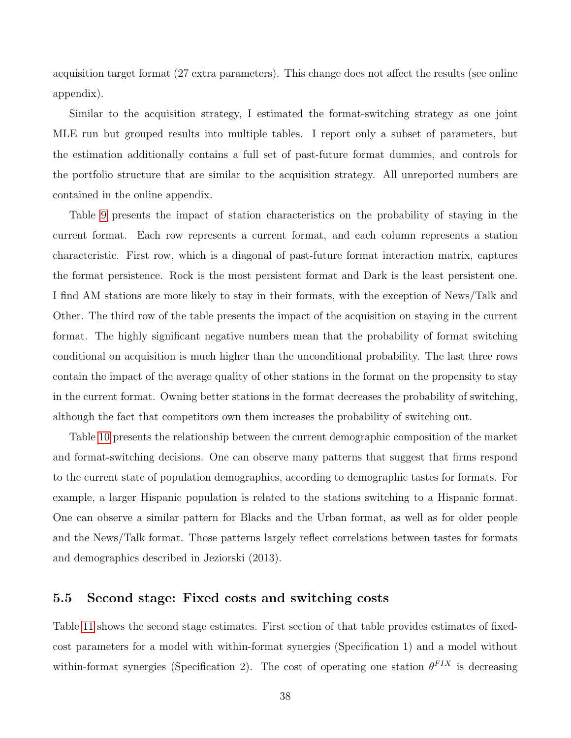acquisition target format (27 extra parameters). This change does not affect the results (see online appendix).

Similar to the acquisition strategy, I estimated the format-switching strategy as one joint MLE run but grouped results into multiple tables. I report only a subset of parameters, but the estimation additionally contains a full set of past-future format dummies, and controls for the portfolio structure that are similar to the acquisition strategy. All unreported numbers are contained in the online appendix.

Table [9](#page-38-0) presents the impact of station characteristics on the probability of staying in the current format. Each row represents a current format, and each column represents a station characteristic. First row, which is a diagonal of past-future format interaction matrix, captures the format persistence. Rock is the most persistent format and Dark is the least persistent one. I find AM stations are more likely to stay in their formats, with the exception of News/Talk and Other. The third row of the table presents the impact of the acquisition on staying in the current format. The highly significant negative numbers mean that the probability of format switching conditional on acquisition is much higher than the unconditional probability. The last three rows contain the impact of the average quality of other stations in the format on the propensity to stay in the current format. Owning better stations in the format decreases the probability of switching, although the fact that competitors own them increases the probability of switching out.

Table [10](#page-39-0) presents the relationship between the current demographic composition of the market and format-switching decisions. One can observe many patterns that suggest that firms respond to the current state of population demographics, according to demographic tastes for formats. For example, a larger Hispanic population is related to the stations switching to a Hispanic format. One can observe a similar pattern for Blacks and the Urban format, as well as for older people and the News/Talk format. Those patterns largely reflect correlations between tastes for formats and demographics described in Jeziorski (2013).

#### <span id="page-37-0"></span>5.5 Second stage: Fixed costs and switching costs

Table [11](#page-40-0) shows the second stage estimates. First section of that table provides estimates of fixedcost parameters for a model with within-format synergies (Specification 1) and a model without within-format synergies (Specification 2). The cost of operating one station  $\theta^{FIX}$  is decreasing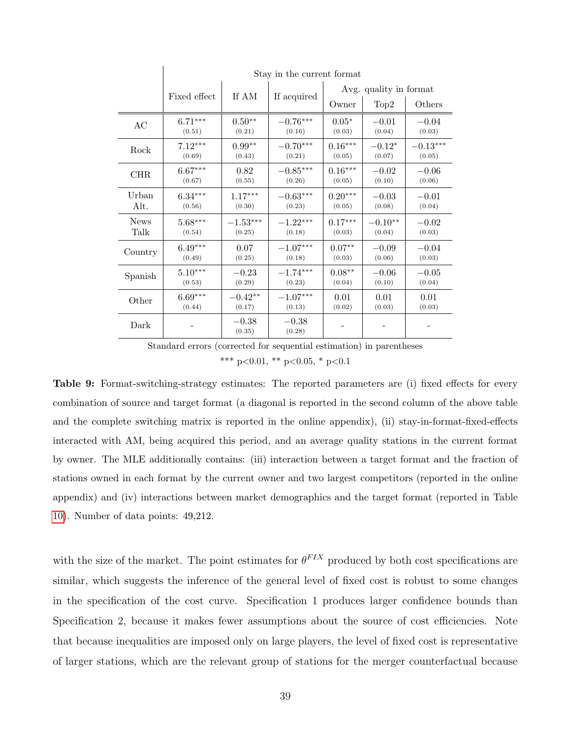<span id="page-38-0"></span>

|             |              |                   |                   | Avg. quality in format |           |            |  |
|-------------|--------------|-------------------|-------------------|------------------------|-----------|------------|--|
|             | Fixed effect | If AM             | If acquired       | Owner                  | Top2      | Others     |  |
| AC          | $6.71***$    | $0.50**$          | $-0.76***$        | $0.05*$                | $-0.01$   | $-0.04$    |  |
|             | (0.51)       | (0.21)            | (0.16)            | (0.03)                 | (0.04)    | (0.03)     |  |
| Rock        | $7.12***$    | $0.99**$          | $-0.70***$        | $0.16***$              | $-0.12*$  | $-0.13***$ |  |
|             | (0.69)       | (0.43)            | (0.21)            | (0.05)                 | (0.07)    | (0.05)     |  |
| <b>CHR</b>  | $6.67***$    | 0.82              | $-0.85***$        | $0.16***$              | $-0.02$   | $-0.06$    |  |
|             | (0.67)       | (0.55)            | (0.26)            | (0.05)                 | (0.10)    | (0.06)     |  |
| Urban       | $6.34***$    | $1.17***$         | $-0.63***$        | $0.20***$              | $-0.03$   | $-0.01$    |  |
| Alt.        | (0.56)       | (0.30)            | (0.23)            | (0.05)                 | (0.08)    | (0.04)     |  |
| <b>News</b> | $5.68***$    | $-1.53***$        | $-1.22***$        | $0.17***$              | $-0.10**$ | $-0.02$    |  |
| Talk        | (0.54)       | (0.25)            | (0.18)            | (0.03)                 | (0.04)    | (0.03)     |  |
| Country     | $6.49***$    | 0.07              | $-1.07***$        | $0.07**$               | $-0.09$   | $-0.04$    |  |
|             | (0.49)       | (0.25)            | (0.18)            | (0.03)                 | (0.06)    | (0.03)     |  |
| Spanish     | $5.10***$    | $-0.23$           | $-1.74***$        | $0.08**$               | $-0.06$   | $-0.05$    |  |
|             | (0.53)       | (0.29)            | (0.23)            | (0.04)                 | (0.10)    | (0.04)     |  |
| Other       | $6.69***$    | $-0.42**$         | $-1.07***$        | 0.01                   | 0.01      | 0.01       |  |
|             | (0.44)       | (0.17)            | (0.13)            | (0.02)                 | (0.03)    | (0.03)     |  |
| Dark        |              | $-0.38$<br>(0.35) | $-0.38$<br>(0.28) |                        |           |            |  |

Stay in the current format

Standard errors (corrected for sequential estimation) in parentheses

\*\*\* p<0.01, \*\* p<0.05, \* p<0.1

Table 9: Format-switching-strategy estimates: The reported parameters are (i) fixed effects for every combination of source and target format (a diagonal is reported in the second column of the above table and the complete switching matrix is reported in the online appendix), (ii) stay-in-format-fixed-effects interacted with AM, being acquired this period, and an average quality stations in the current format by owner. The MLE additionally contains: (iii) interaction between a target format and the fraction of stations owned in each format by the current owner and two largest competitors (reported in the online appendix) and (iv) interactions between market demographics and the target format (reported in Table [10\)](#page-39-0). Number of data points: 49,212.

with the size of the market. The point estimates for  $\theta^{FIX}$  produced by both cost specifications are similar, which suggests the inference of the general level of fixed cost is robust to some changes in the specification of the cost curve. Specification 1 produces larger confidence bounds than Specification 2, because it makes fewer assumptions about the source of cost efficiencies. Note that because inequalities are imposed only on large players, the level of fixed cost is representative of larger stations, which are the relevant group of stations for the merger counterfactual because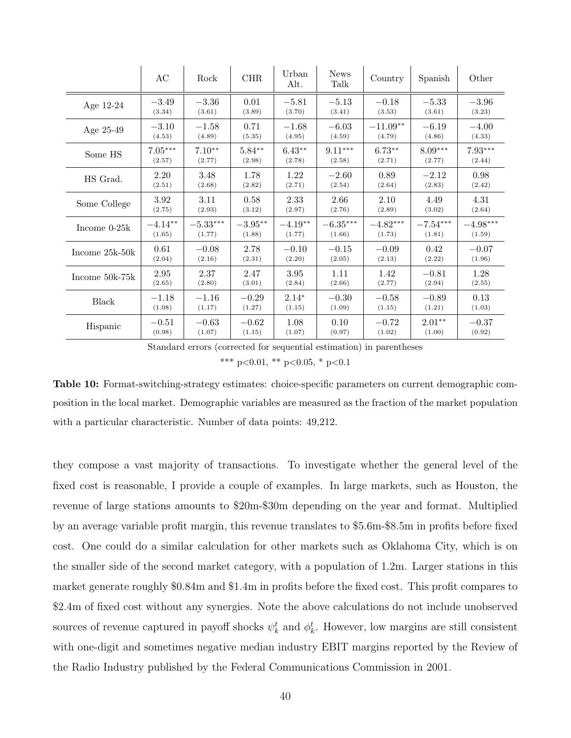<span id="page-39-0"></span>

|                  | AC                 | Rock                   | CHR                | Urban<br>Alt. | <b>News</b><br>Talk | Country    | Spanish                | Other                  |
|------------------|--------------------|------------------------|--------------------|---------------|---------------------|------------|------------------------|------------------------|
| Age $12-24$      | $-3.49$            | $-3.36$                | 0.01               | $-5.81$       | $-5.13$             | $-0.18$    | $-5.33$                | $-3.96$                |
|                  | (3.34)             | (3.61)                 | (3.89)             | (3.70)        | (3.41)              | (3.53)     | (3.61)                 | (3.23)                 |
| Age 25-49        | $-3.10$            | $-1.58$                | 0.71               | $-1.68$       | $-6.03$             | $-11.09**$ | $-6.19$                | $-4.00$                |
|                  | (4.53)             | (4.89)                 | (5.35)             | (4.95)        | (4.59)              | (4.79)     | (4.86)                 | (4.33)                 |
| Some HS          | $7.05***$          | $7.10**$               | $5.84***$          | $6.43**$      | $9.11***$           | $6.73**$   | $8.09***$              | $7.93***$              |
|                  | (2.57)             | (2.77)                 | (2.98)             | (2.78)        | (2.58)              | (2.71)     | (2.77)                 | (2.44)                 |
| HS Grad.         | 2.20               | 3.48                   | 1.78               | 1.22          | $-2.60$             | 0.89       | $-2.12$                | 0.98                   |
|                  | (2.51)             | (2.68)                 | (2.82)             | (2.71)        | (2.54)              | (2.64)     | (2.83)                 | (2.42)                 |
| Some College     | 3.92               | 3.11                   | 0.58               | 2.33          | 2.66                | 2.10       | 4.49                   | 4.31                   |
|                  | (2.75)             | (2.93)                 | (3.12)             | (2.97)        | (2.76)              | (2.89)     | (3.02)                 | (2.64)                 |
| Income $0-25k$   | $-4.14^{\ast\ast}$ | $-5.33^{\ast\ast\ast}$ | $-3.95^{\ast\ast}$ | $-4.19**$     | $-6.35***$          | $-4.82***$ | $-7.54^{\ast\ast\ast}$ | $-4.98^{\ast\ast\ast}$ |
|                  | (1.65)             | (1.77)                 | (1.88)             | (1.77)        | (1.66)              | (1.73)     | (1.81)                 | (1.59)                 |
| Income $25k-50k$ | 0.61               | $-0.08$                | 2.78               | $-0.10$       | $-0.15$             | $-0.09$    | 0.42                   | $-0.07$                |
|                  | (2.04)             | (2.16)                 | (2.31)             | (2.20)        | (2.05)              | (2.13)     | (2.22)                 | (1.96)                 |
| Income 50k-75k   | 2.95               | 2.37                   | 2.47               | 3.95          | 1.11                | 1.42       | $-0.81$                | 1.28                   |
|                  | (2.65)             | (2.80)                 | (3.01)             | (2.84)        | (2.66)              | (2.77)     | (2.94)                 | (2.55)                 |
| <b>Black</b>     | $-1.18$            | $-1.16$                | $-0.29$            | $2.14*$       | $-0.30$             | $-0.58$    | $-0.89$                | 0.13                   |
|                  | (1.08)             | (1.17)                 | (1.27)             | (1.15)        | (1.09)              | (1.15)     | (1.21)                 | (1.03)                 |
| Hispanic         | $-0.51$            | $-0.63$                | $-0.62$            | 1.08          | 0.10                | $-0.72$    | $2.01**$               | $-0.37$                |
|                  | (0.98)             | (1.07)                 | (1.15)             | (1.07)        | (0.97)              | (1.02)     | (1.00)                 | (0.92)                 |

Standard errors (corrected for sequential estimation) in parentheses

\*\*\* p<0.01, \*\* p<0.05, \* p<0.1

Table 10: Format-switching-strategy estimates: choice-specific parameters on current demographic composition in the local market. Demographic variables are measured as the fraction of the market population with a particular characteristic. Number of data points: 49,212.

they compose a vast majority of transactions. To investigate whether the general level of the fixed cost is reasonable, I provide a couple of examples. In large markets, such as Houston, the revenue of large stations amounts to \$20m-\$30m depending on the year and format. Multiplied by an average variable profit margin, this revenue translates to \$5.6m-\$8.5m in profits before fixed cost. One could do a similar calculation for other markets such as Oklahoma City, which is on the smaller side of the second market category, with a population of 1.2m. Larger stations in this market generate roughly \$0.84m and \$1.4m in profits before the fixed cost. This profit compares to \$2.4m of fixed cost without any synergies. Note the above calculations do not include unobserved sources of revenue captured in payoff shocks  $\psi_k^t$  and  $\phi_k^t$ . However, low margins are still consistent with one-digit and sometimes negative median industry EBIT margins reported by the Review of the Radio Industry published by the Federal Communications Commission in 2001.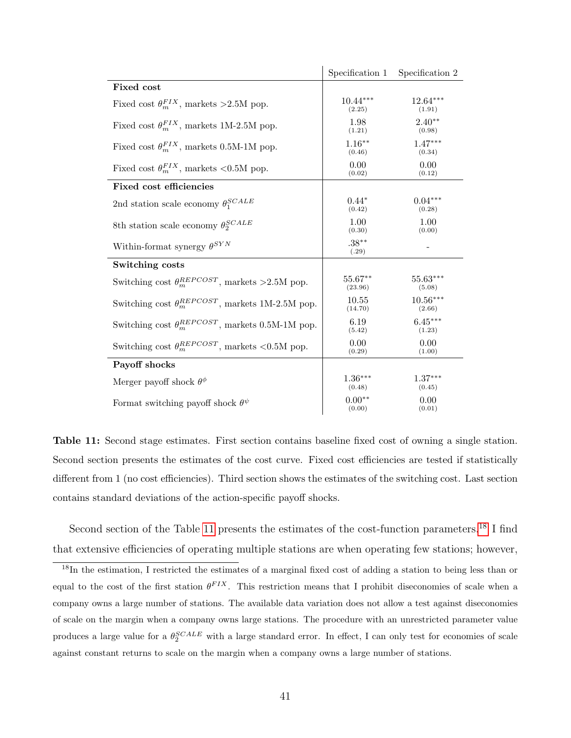<span id="page-40-0"></span>

|                                                            | Specification 1      | Specification 2      |
|------------------------------------------------------------|----------------------|----------------------|
| Fixed cost                                                 |                      |                      |
| Fixed cost $\theta_m^{FIX}$ , markets >2.5M pop.           | $10.44***$<br>(2.25) | 12.64***<br>(1.91)   |
| Fixed cost $\theta_m^{FIX}$ , markets 1M-2.5M pop.         | 1.98<br>(1.21)       | $2.40**$<br>(0.98)   |
| Fixed cost $\theta_m^{FIX}$ , markets 0.5M-1M pop.         | $1.16***$<br>(0.46)  | $1.47***$<br>(0.34)  |
| Fixed cost $\theta_m^{FIX}$ , markets <0.5M pop.           | 0.00<br>(0.02)       | 0.00<br>(0.12)       |
| Fixed cost efficiencies                                    |                      |                      |
| 2nd station scale economy $\theta_1^{SCALE}$               | $0.44*$<br>(0.42)    | $0.04***$<br>(0.28)  |
| 8th station scale economy $\theta_2^{SCALE}$               | 1.00<br>(0.30)       | 1.00<br>(0.00)       |
| Within-format synergy $\theta^{SYN}$                       | $.38**$<br>(.29)     |                      |
| Switching costs                                            |                      |                      |
| Switching cost $\theta_m^{REPCOST}$ , markets >2.5M pop.   | 55.67**<br>(23.96)   | 55.63***<br>(5.08)   |
| Switching cost $\theta_m^{REPCOST}$ , markets 1M-2.5M pop. | 10.55<br>(14.70)     | $10.56***$<br>(2.66) |
| Switching cost $\theta_m^{REPCOST}$ , markets 0.5M-1M pop. | 6.19<br>(5.42)       | $6.45***$<br>(1.23)  |
| Switching cost $\theta_m^{REPCOST}$ , markets <0.5M pop.   | 0.00<br>(0.29)       | 0.00<br>(1.00)       |
| Payoff shocks                                              |                      |                      |
| Merger payoff shock $\theta^{\phi}$                        | $1.36***$<br>(0.48)  | $1.37***$<br>(0.45)  |
| Format switching payoff shock $\theta^{\psi}$              | $0.00**$<br>(0.00)   | 0.00<br>(0.01)       |

Table 11: Second stage estimates. First section contains baseline fixed cost of owning a single station. Second section presents the estimates of the cost curve. Fixed cost efficiencies are tested if statistically different from 1 (no cost efficiencies). Third section shows the estimates of the switching cost. Last section contains standard deviations of the action-specific payoff shocks.

Second section of the Table [11](#page-40-0) presents the estimates of the cost-function parameters.<sup>[18](#page-40-1)</sup> I find that extensive efficiencies of operating multiple stations are when operating few stations; however,

<span id="page-40-1"></span><sup>&</sup>lt;sup>18</sup>In the estimation, I restricted the estimates of a marginal fixed cost of adding a station to being less than or equal to the cost of the first station  $\theta^{FIX}$ . This restriction means that I prohibit diseconomies of scale when a company owns a large number of stations. The available data variation does not allow a test against diseconomies of scale on the margin when a company owns large stations. The procedure with an unrestricted parameter value produces a large value for a  $\theta_2^{SCALE}$  with a large standard error. In effect, I can only test for economies of scale against constant returns to scale on the margin when a company owns a large number of stations.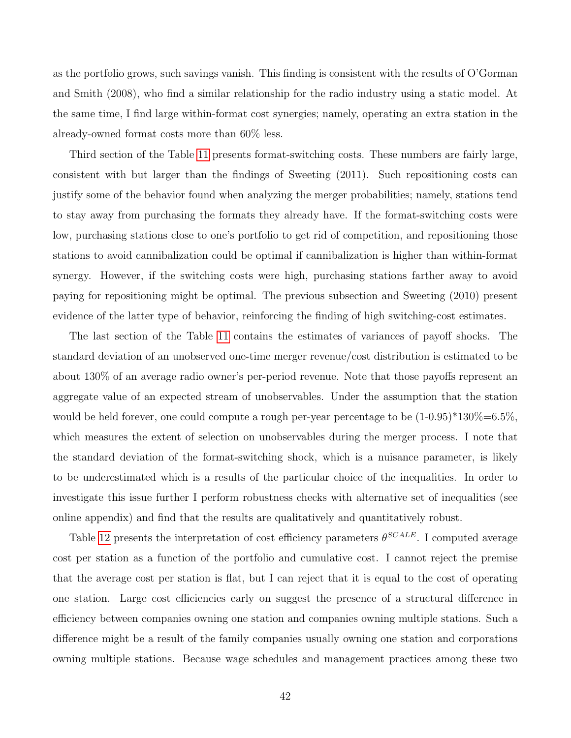as the portfolio grows, such savings vanish. This finding is consistent with the results of O'Gorman and Smith (2008), who find a similar relationship for the radio industry using a static model. At the same time, I find large within-format cost synergies; namely, operating an extra station in the already-owned format costs more than 60% less.

Third section of the Table [11](#page-40-0) presents format-switching costs. These numbers are fairly large, consistent with but larger than the findings of Sweeting (2011). Such repositioning costs can justify some of the behavior found when analyzing the merger probabilities; namely, stations tend to stay away from purchasing the formats they already have. If the format-switching costs were low, purchasing stations close to one's portfolio to get rid of competition, and repositioning those stations to avoid cannibalization could be optimal if cannibalization is higher than within-format synergy. However, if the switching costs were high, purchasing stations farther away to avoid paying for repositioning might be optimal. The previous subsection and Sweeting (2010) present evidence of the latter type of behavior, reinforcing the finding of high switching-cost estimates.

The last section of the Table [11](#page-40-0) contains the estimates of variances of payoff shocks. The standard deviation of an unobserved one-time merger revenue/cost distribution is estimated to be about 130% of an average radio owner's per-period revenue. Note that those payoffs represent an aggregate value of an expected stream of unobservables. Under the assumption that the station would be held forever, one could compute a rough per-year percentage to be  $(1-0.95)$ <sup>\*</sup>130<sup>%</sup>=6.5%, which measures the extent of selection on unobservables during the merger process. I note that the standard deviation of the format-switching shock, which is a nuisance parameter, is likely to be underestimated which is a results of the particular choice of the inequalities. In order to investigate this issue further I perform robustness checks with alternative set of inequalities (see online appendix) and find that the results are qualitatively and quantitatively robust.

Table [12](#page-42-0) presents the interpretation of cost efficiency parameters  $\theta^{SCALE}$ . I computed average cost per station as a function of the portfolio and cumulative cost. I cannot reject the premise that the average cost per station is flat, but I can reject that it is equal to the cost of operating one station. Large cost efficiencies early on suggest the presence of a structural difference in efficiency between companies owning one station and companies owning multiple stations. Such a difference might be a result of the family companies usually owning one station and corporations owning multiple stations. Because wage schedules and management practices among these two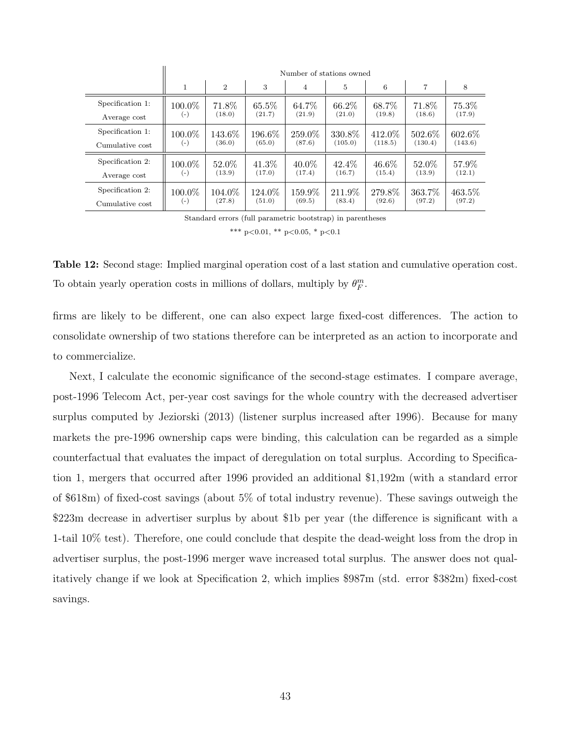<span id="page-42-0"></span>

|                  | Number of stations owned |                |           |        |         |          |                |         |  |
|------------------|--------------------------|----------------|-----------|--------|---------|----------|----------------|---------|--|
|                  | 1                        | $\overline{2}$ | 3         | 4      | 5       | 6        | $\overline{7}$ | 8       |  |
| Specification 1: | 100.0%                   | 71.8%          | 65.5%     | 64.7%  | 66.2%   | 68.7%    | 71.8%          | 75.3%   |  |
| Average cost     | (-)                      | (18.0)         | (21.7)    | (21.9) | (21.0)  | (19.8)   | (18.6)         | (17.9)  |  |
| Specification 1: | 100.0%                   | 143.6%         | $196.6\%$ | 259.0% | 330.8%  | 412.0%   | $502.6\%$      | 602.6\% |  |
| Cumulative cost  | ( – )                    | (36.0)         | (65.0)    | (87.6) | (105.0) | (118.5)  | (130.4)        | (143.6) |  |
| Specification 2: | $100.0\%$                | $52.0\%$       | $41.3\%$  | 40.0%  | 42.4\%  | $46.6\%$ | 52.0%          | 57.9%   |  |
| Average cost     | ( – )                    | (13.9)         | (17.0)    | (17.4) | (16.7)  | (15.4)   | (13.9)         | (12.1)  |  |
| Specification 2: | 100.0%                   | 104.0%         | 124.0%    | 159.9% | 211.9%  | 279.8%   | 363.7\%        | 463.5%  |  |
| Cumulative cost  | ( – )                    | (27.8)         | (51.0)    | (69.5) | (83.4)  | (92.6)   | (97.2)         | (97.2)  |  |

Standard errors (full parametric bootstrap) in parentheses

\*\*\* p<0.01, \*\* p<0.05, \* p<0.1

Table 12: Second stage: Implied marginal operation cost of a last station and cumulative operation cost. To obtain yearly operation costs in millions of dollars, multiply by  $\theta_F^m$ .

firms are likely to be different, one can also expect large fixed-cost differences. The action to consolidate ownership of two stations therefore can be interpreted as an action to incorporate and to commercialize.

Next, I calculate the economic significance of the second-stage estimates. I compare average, post-1996 Telecom Act, per-year cost savings for the whole country with the decreased advertiser surplus computed by Jeziorski (2013) (listener surplus increased after 1996). Because for many markets the pre-1996 ownership caps were binding, this calculation can be regarded as a simple counterfactual that evaluates the impact of deregulation on total surplus. According to Specification 1, mergers that occurred after 1996 provided an additional \$1,192m (with a standard error of \$618m) of fixed-cost savings (about 5% of total industry revenue). These savings outweigh the \$223m decrease in advertiser surplus by about \$1b per year (the difference is significant with a 1-tail 10% test). Therefore, one could conclude that despite the dead-weight loss from the drop in advertiser surplus, the post-1996 merger wave increased total surplus. The answer does not qualitatively change if we look at Specification 2, which implies \$987m (std. error \$382m) fixed-cost savings.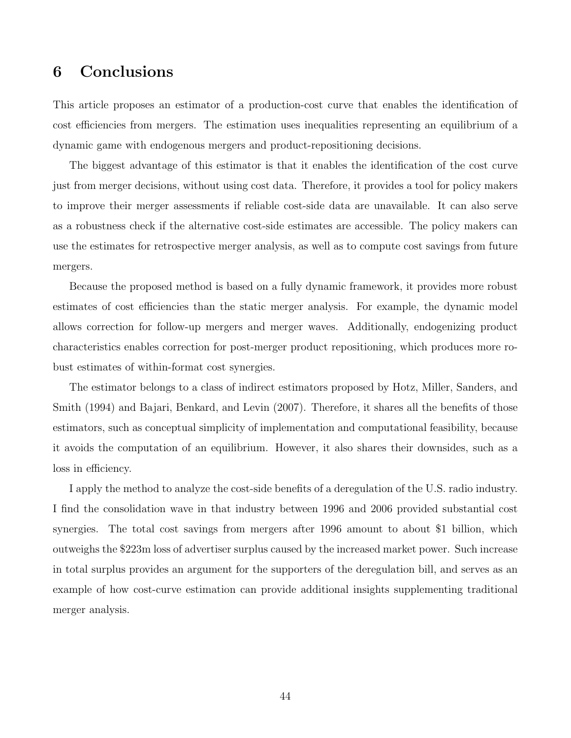## 6 Conclusions

This article proposes an estimator of a production-cost curve that enables the identification of cost efficiencies from mergers. The estimation uses inequalities representing an equilibrium of a dynamic game with endogenous mergers and product-repositioning decisions.

The biggest advantage of this estimator is that it enables the identification of the cost curve just from merger decisions, without using cost data. Therefore, it provides a tool for policy makers to improve their merger assessments if reliable cost-side data are unavailable. It can also serve as a robustness check if the alternative cost-side estimates are accessible. The policy makers can use the estimates for retrospective merger analysis, as well as to compute cost savings from future mergers.

Because the proposed method is based on a fully dynamic framework, it provides more robust estimates of cost efficiencies than the static merger analysis. For example, the dynamic model allows correction for follow-up mergers and merger waves. Additionally, endogenizing product characteristics enables correction for post-merger product repositioning, which produces more robust estimates of within-format cost synergies.

The estimator belongs to a class of indirect estimators proposed by Hotz, Miller, Sanders, and Smith (1994) and Bajari, Benkard, and Levin (2007). Therefore, it shares all the benefits of those estimators, such as conceptual simplicity of implementation and computational feasibility, because it avoids the computation of an equilibrium. However, it also shares their downsides, such as a loss in efficiency.

I apply the method to analyze the cost-side benefits of a deregulation of the U.S. radio industry. I find the consolidation wave in that industry between 1996 and 2006 provided substantial cost synergies. The total cost savings from mergers after 1996 amount to about \$1 billion, which outweighs the \$223m loss of advertiser surplus caused by the increased market power. Such increase in total surplus provides an argument for the supporters of the deregulation bill, and serves as an example of how cost-curve estimation can provide additional insights supplementing traditional merger analysis.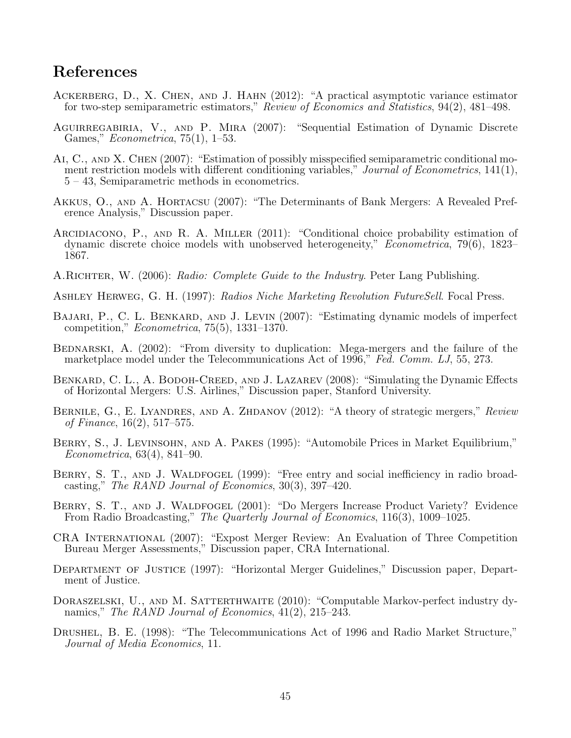## References

- Ackerberg, D., X. Chen, and J. Hahn (2012): "A practical asymptotic variance estimator for two-step semiparametric estimators," Review of Economics and Statistics, 94(2), 481–498.
- Aguirregabiria, V., and P. Mira (2007): "Sequential Estimation of Dynamic Discrete Games," Econometrica, 75(1), 1–53.
- Ai, C., and X. Chen (2007): "Estimation of possibly misspecified semiparametric conditional moment restriction models with different conditioning variables," Journal of Econometrics, 141(1), 5 – 43, Semiparametric methods in econometrics.
- Akkus, O., and A. Hortacsu (2007): "The Determinants of Bank Mergers: A Revealed Preference Analysis," Discussion paper.
- ARCIDIACONO, P., AND R. A. MILLER (2011): "Conditional choice probability estimation of dynamic discrete choice models with unobserved heterogeneity," Econometrica, 79(6), 1823– 1867.
- A.RICHTER, W. (2006): Radio: Complete Guide to the Industry. Peter Lang Publishing.
- Ashley Herweg, G. H. (1997): Radios Niche Marketing Revolution FutureSell. Focal Press.
- BAJARI, P., C. L. BENKARD, AND J. LEVIN (2007): "Estimating dynamic models of imperfect competition," Econometrica, 75(5), 1331–1370.
- BEDNARSKI, A. (2002): "From diversity to duplication: Mega-mergers and the failure of the marketplace model under the Telecommunications Act of 1996," Fed. Comm. LJ, 55, 273.
- BENKARD, C. L., A. BODOH-CREED, AND J. LAZAREV (2008): "Simulating the Dynamic Effects of Horizontal Mergers: U.S. Airlines," Discussion paper, Stanford University.
- BERNILE, G., E. LYANDRES, AND A. ZHDANOV (2012): "A theory of strategic mergers," Review of Finance, 16(2), 517–575.
- BERRY, S., J. LEVINSOHN, AND A. PAKES (1995): "Automobile Prices in Market Equilibrium," Econometrica, 63(4), 841–90.
- BERRY, S. T., AND J. WALDFOGEL (1999): "Free entry and social inefficiency in radio broadcasting," The RAND Journal of Economics, 30(3), 397–420.
- Berry, S. T., and J. Waldfogel (2001): "Do Mergers Increase Product Variety? Evidence From Radio Broadcasting," The Quarterly Journal of Economics, 116(3), 1009–1025.
- CRA International (2007): "Expost Merger Review: An Evaluation of Three Competition Bureau Merger Assessments," Discussion paper, CRA International.
- Department of Justice (1997): "Horizontal Merger Guidelines," Discussion paper, Department of Justice.
- DORASZELSKI, U., AND M. SATTERTHWAITE (2010): "Computable Markov-perfect industry dynamics," The RAND Journal of Economics, 41(2), 215–243.
- Drushel, B. E. (1998): "The Telecommunications Act of 1996 and Radio Market Structure," Journal of Media Economics, 11.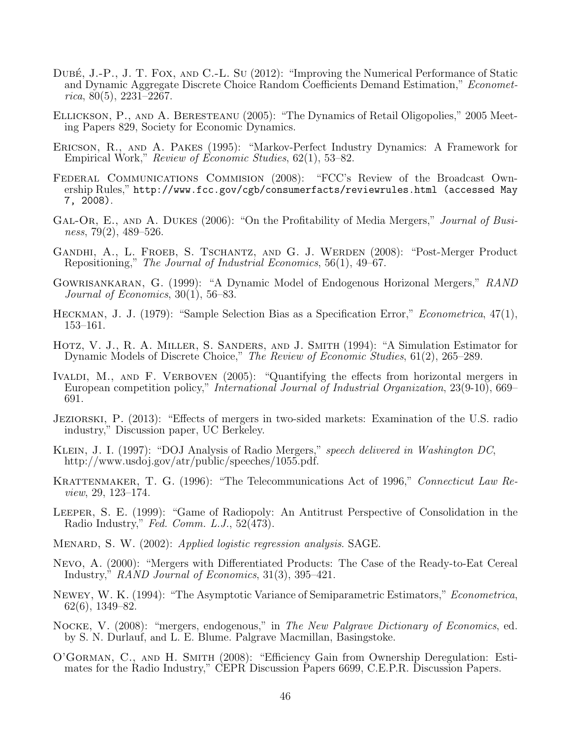- DUBÉ, J.-P., J. T. FOX, AND C.-L. SU  $(2012)$ : "Improving the Numerical Performance of Static and Dynamic Aggregate Discrete Choice Random Coefficients Demand Estimation," Economet $rica, 80(5), 2231-2267.$
- Ellickson, P., and A. Beresteanu (2005): "The Dynamics of Retail Oligopolies," 2005 Meeting Papers 829, Society for Economic Dynamics.
- Ericson, R., and A. Pakes (1995): "Markov-Perfect Industry Dynamics: A Framework for Empirical Work," Review of Economic Studies, 62(1), 53–82.
- Federal Communications Commision (2008): "FCC's Review of the Broadcast Ownership Rules," http://www.fcc.gov/cgb/consumerfacts/reviewrules.html (accessed May 7, 2008).
- GAL-OR, E., AND A. DUKES (2006): "On the Profitability of Media Mergers," *Journal of Busi*ness, 79(2), 489–526.
- GANDHI, A., L. FROEB, S. TSCHANTZ, AND G. J. WERDEN (2008): "Post-Merger Product Repositioning," The Journal of Industrial Economics, 56(1), 49–67.
- Gowrisankaran, G. (1999): "A Dynamic Model of Endogenous Horizonal Mergers," RAND Journal of Economics, 30(1), 56–83.
- HECKMAN, J. J. (1979): "Sample Selection Bias as a Specification Error," *Econometrica*, 47(1), 153–161.
- Hotz, V. J., R. A. Miller, S. Sanders, and J. Smith (1994): "A Simulation Estimator for Dynamic Models of Discrete Choice," The Review of Economic Studies, 61(2), 265–289.
- IVALDI, M., AND F. VERBOVEN (2005): "Quantifying the effects from horizontal mergers in European competition policy," *International Journal of Industrial Organization*, 23(9-10), 669– 691.
- Jeziorski, P. (2013): "Effects of mergers in two-sided markets: Examination of the U.S. radio industry," Discussion paper, UC Berkeley.
- Klein, J. I. (1997): "DOJ Analysis of Radio Mergers," speech delivered in Washington DC, http://www.usdoj.gov/atr/public/speeches/1055.pdf.
- KRATTENMAKER, T. G. (1996): "The Telecommunications Act of 1996," Connecticut Law Review, 29, 123–174.
- Leeper, S. E. (1999): "Game of Radiopoly: An Antitrust Perspective of Consolidation in the Radio Industry," Fed. Comm. L.J., 52(473).
- Menard, S. W. (2002): Applied logistic regression analysis. SAGE.
- Nevo, A. (2000): "Mergers with Differentiated Products: The Case of the Ready-to-Eat Cereal Industry," RAND Journal of Economics, 31(3), 395–421.
- Newey, W. K. (1994): "The Asymptotic Variance of Semiparametric Estimators," Econometrica, 62(6), 1349–82.
- Nocke, V. (2008): "mergers, endogenous," in The New Palgrave Dictionary of Economics, ed. by S. N. Durlauf, and L. E. Blume. Palgrave Macmillan, Basingstoke.
- O'Gorman, C., and H. Smith (2008): "Efficiency Gain from Ownership Deregulation: Estimates for the Radio Industry," CEPR Discussion Papers 6699, C.E.P.R. Discussion Papers.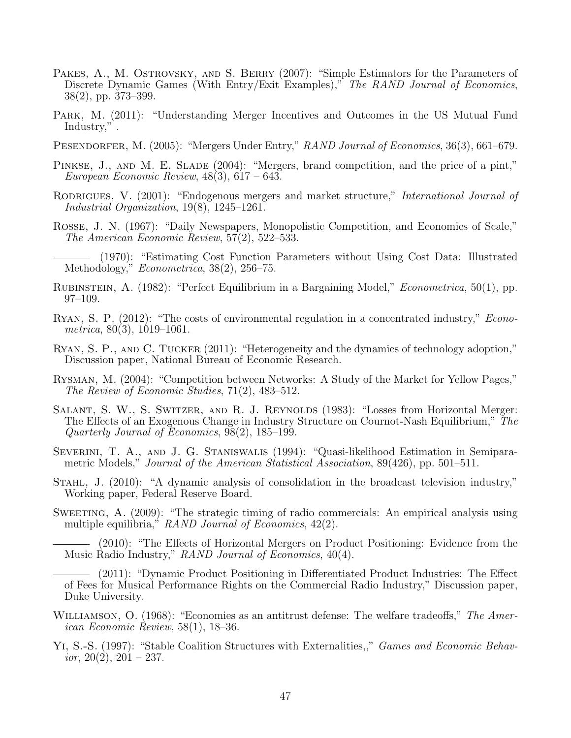- PAKES, A., M. OSTROVSKY, AND S. BERRY (2007): "Simple Estimators for the Parameters of Discrete Dynamic Games (With Entry/Exit Examples)," The RAND Journal of Economics, 38(2), pp. 373–399.
- Park, M. (2011): "Understanding Merger Incentives and Outcomes in the US Mutual Fund Industry," .
- PESENDORFER, M. (2005): "Mergers Under Entry," RAND Journal of Economics, 36(3), 661–679.
- PINKSE, J., AND M. E. SLADE (2004): "Mergers, brand competition, and the price of a pint," European Economic Review,  $48(3)$ ,  $617 - 643$ .
- RODRIGUES, V. (2001): "Endogenous mergers and market structure," International Journal of Industrial Organization, 19(8), 1245–1261.
- Rosse, J. N. (1967): "Daily Newspapers, Monopolistic Competition, and Economies of Scale," The American Economic Review, 57(2), 522–533.

(1970): "Estimating Cost Function Parameters without Using Cost Data: Illustrated Methodology," Econometrica, 38(2), 256–75.

- Rubinstein, A. (1982): "Perfect Equilibrium in a Bargaining Model," Econometrica, 50(1), pp. 97–109.
- RYAN, S. P. (2012): "The costs of environmental regulation in a concentrated industry," *Econo*metrica,  $80(3)$ , 1019–1061.
- RYAN, S. P., AND C. TUCKER (2011): "Heterogeneity and the dynamics of technology adoption," Discussion paper, National Bureau of Economic Research.
- Rysman, M. (2004): "Competition between Networks: A Study of the Market for Yellow Pages," The Review of Economic Studies, 71(2), 483–512.
- SALANT, S. W., S. SWITZER, AND R. J. REYNOLDS (1983): "Losses from Horizontal Merger: The Effects of an Exogenous Change in Industry Structure on Cournot-Nash Equilibrium," The Quarterly Journal of Economics, 98(2), 185–199.
- Severini, T. A., and J. G. Staniswalis (1994): "Quasi-likelihood Estimation in Semiparametric Models," *Journal of the American Statistical Association*, 89(426), pp. 501–511.
- Stahl, J. (2010): "A dynamic analysis of consolidation in the broadcast television industry," Working paper, Federal Reserve Board.
- SWEETING, A. (2009): "The strategic timing of radio commercials: An empirical analysis using multiple equilibria," RAND Journal of Economics, 42(2).

(2010): "The Effects of Horizontal Mergers on Product Positioning: Evidence from the Music Radio Industry," RAND Journal of Economics, 40(4).

(2011): "Dynamic Product Positioning in Differentiated Product Industries: The Effect of Fees for Musical Performance Rights on the Commercial Radio Industry," Discussion paper, Duke University.

- WILLIAMSON, O. (1968): "Economies as an antitrust defense: The welfare tradeoffs," The American Economic Review, 58(1), 18–36.
- YI, S.-S. (1997): "Stable Coalition Structures with Externalities,," Games and Economic Behavior,  $20(2)$ ,  $201 - 237$ .